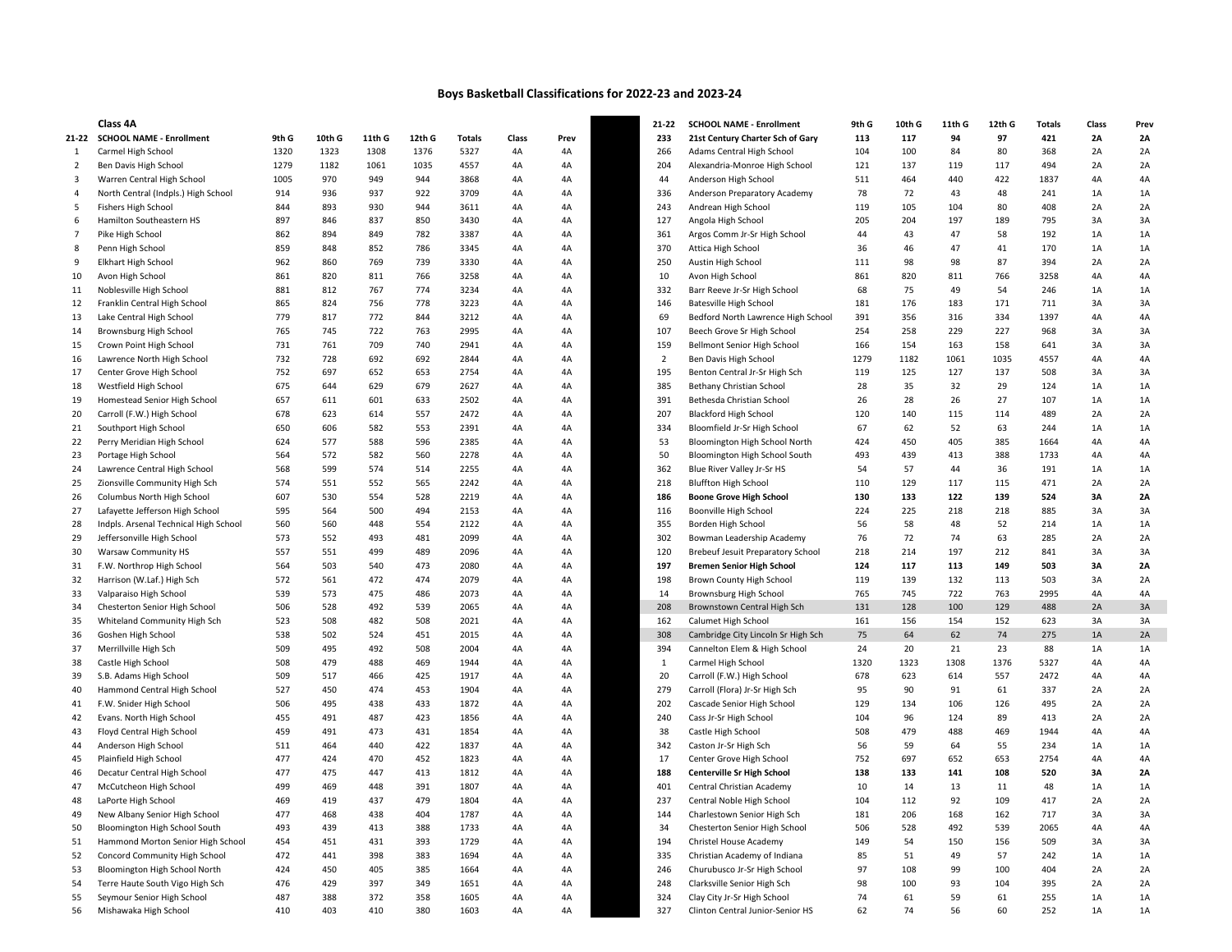## Boys Basketball Classifications for 2022-23 and 2023-24

|                | Class 4A                              |       |        |        |        |        |                 |      | 21-22          | <b>SCHOOL NAME - Enrollment</b>    | 9th G | 10th G | 11th G | 12th G | <b>Totals</b> | Class     | Prey      |
|----------------|---------------------------------------|-------|--------|--------|--------|--------|-----------------|------|----------------|------------------------------------|-------|--------|--------|--------|---------------|-----------|-----------|
| 21-22          | <b>SCHOOL NAME - Enrollment</b>       | 9th G | 10th G | 11th G | 12th G | Totals | Class           | Prev | 233            | 21st Century Charter Sch of Gary   | 113   | 117    | 94     | 97     | 421           | <b>2A</b> | 2A        |
| 1              | Carmel High School                    | 1320  | 1323   | 1308   | 1376   | 5327   | 4A              | 4A   | 266            | Adams Central High School          | 104   | 100    | 84     | 80     | 368           | 2A        | 2A        |
| 2              | Ben Davis High School                 | 1279  | 1182   | 1061   | 1035   | 4557   | 4A              | 4A   | 204            | Alexandria-Monroe High School      | 121   | 137    | 119    | 117    | 494           | 2A        | 2A        |
| 3              | Warren Central High School            | 1005  | 970    | 949    | 944    | 3868   | 4A              | 4A   | 44             | Anderson High School               | 511   | 464    | 440    | 422    | 1837          | 4A        | 4A        |
| 4              | North Central (Indpls.) High School   | 914   | 936    | 937    | 922    | 3709   | 4A              | 4A   | 336            | Anderson Preparatory Academy       | 78    | 72     | 43     | 48     | 241           | 1A        | 1A        |
| 5              | Fishers High School                   | 844   | 893    | 930    | 944    | 3611   | 4A              | 4A   | 243            | Andrean High School                | 119   | 105    | 104    | 80     | 408           | 2A        | 2A        |
| 6              | Hamilton Southeastern HS              | 897   | 846    | 837    | 850    | 3430   | 4A              | 4A   | 127            | Angola High School                 | 205   | 204    | 197    | 189    | 795           | 3A        | 3A        |
| $\overline{7}$ | Pike High School                      | 862   | 894    | 849    | 782    | 3387   | 4A              | 4A   | 361            | Argos Comm Jr-Sr High School       | 44    | 43     | 47     | 58     | 192           | 1A        | 1A        |
| 8              | Penn High School                      | 859   | 848    | 852    | 786    | 3345   | 4A              | 4A   | 370            | Attica High School                 | 36    | 46     | 47     | 41     | 170           | 1A        | 1A        |
| 9              | Elkhart High School                   | 962   | 860    | 769    | 739    | 3330   | 4A              | 4A   | 250            | Austin High School                 | 111   | 98     | 98     | 87     | 394           | 2A        | 2A        |
| 10             | Avon High School                      | 861   | 820    | 811    | 766    | 3258   | 4A              | 4A   | 10             | Avon High School                   | 861   | 820    | 811    | 766    | 3258          | 4A        | 4A        |
| 11             | Noblesville High School               | 881   | 812    | 767    | 774    | 3234   | 4A              | 4A   | 332            | Barr Reeve Jr-Sr High School       | 68    | 75     | 49     | 54     | 246           | 1A        | 1A        |
| 12             | Franklin Central High School          | 865   | 824    | 756    | 778    | 3223   | 4A              | 4A   | 146            | Batesville High School             | 181   | 176    | 183    | 171    | 711           | 3A        | 3A        |
| 13             | Lake Central High School              | 779   | 817    | 772    | 844    | 3212   | 4A              | 4A   | 69             |                                    | 391   | 356    | 316    | 334    | 1397          | 4A        | 4A        |
|                |                                       |       |        |        |        | 2995   |                 |      |                | Bedford North Lawrence High School | 254   |        |        |        |               |           |           |
| 14             | Brownsburg High School                | 765   | 745    | 722    | 763    |        | 4A              | 4A   | 107            | Beech Grove Sr High School         |       | 258    | 229    | 227    | 968           | 3A        | 3A        |
| 15             | Crown Point High School               | 731   | 761    | 709    | 740    | 2941   | 4A              | 4A   | 159            | Bellmont Senior High School        | 166   | 154    | 163    | 158    | 641           | 3A        | 3A        |
| 16             | Lawrence North High School            | 732   | 728    | 692    | 692    | 2844   | 4A              | 4A   | $\overline{2}$ | Ben Davis High School              | 1279  | 1182   | 1061   | 1035   | 4557          | 4A        | 4A        |
| 17             | Center Grove High School              | 752   | 697    | 652    | 653    | 2754   | 4A              | 4A   | 195            | Benton Central Jr-Sr High Sch      | 119   | 125    | 127    | 137    | 508           | 3A        | 3A        |
| 18             | Westfield High School                 | 675   | 644    | 629    | 679    | 2627   | 4A              | 4A   | 385            | Bethany Christian School           | 28    | 35     | 32     | 29     | 124           | 1A        | 1A        |
| 19             | Homestead Senior High School          | 657   | 611    | 601    | 633    | 2502   | 4A              | 4A   | 391            | Bethesda Christian School          | 26    | 28     | 26     | 27     | 107           | 1A        | 1A        |
| 20             | Carroll (F.W.) High School            | 678   | 623    | 614    | 557    | 2472   | 4A              | 4A   | 207            | <b>Blackford High School</b>       | 120   | 140    | 115    | 114    | 489           | 2A        | 2A        |
| 21             | Southport High School                 | 650   | 606    | 582    | 553    | 2391   | 4A              | 4A   | 334            | Bloomfield Jr-Sr High School       | 67    | 62     | 52     | 63     | 244           | 1A        | 1A        |
| 22             | Perry Meridian High School            | 624   | 577    | 588    | 596    | 2385   | 4A              | 4A   | 53             | Bloomington High School North      | 424   | 450    | 405    | 385    | 1664          | 4A        | 4A        |
| 23             | Portage High School                   | 564   | 572    | 582    | 560    | 2278   | 4A              | 4A   | 50             | Bloomington High School South      | 493   | 439    | 413    | 388    | 1733          | 4A        | 4A        |
| 24             | Lawrence Central High School          | 568   | 599    | 574    | 514    | 2255   | 4A              | 4A   | 362            | Blue River Valley Jr-Sr HS         | 54    | 57     | 44     | 36     | 191           | 1A        | 1A        |
| 25             | Zionsville Community High Sch         | 574   | 551    | 552    | 565    | 2242   | 4A              | 4A   | 218            | <b>Bluffton High School</b>        | 110   | 129    | 117    | 115    | 471           | 2A        | 2A        |
| 26             | Columbus North High School            | 607   | 530    | 554    | 528    | 2219   | 4A              | 4A   | 186            | <b>Boone Grove High School</b>     | 130   | 133    | 122    | 139    | 524           | 3A        | 2A        |
| 27             | Lafayette Jefferson High School       | 595   | 564    | 500    | 494    | 2153   | 4A              | 4A   | 116            | Boonville High School              | 224   | 225    | 218    | 218    | 885           | 3A        | 3A        |
| 28             | Indpls. Arsenal Technical High School | 560   | 560    | 448    | 554    | 2122   | 4A              | 4A   | 355            | Borden High School                 | 56    | 58     | 48     | 52     | 214           | 1A        | 1A        |
| 29             | Jeffersonville High School            | 573   | 552    | 493    | 481    | 2099   | 4A              | 4A   | 302            | Bowman Leadership Academy          | 76    | 72     | 74     | 63     | 285           | 2A        | 2A        |
| 30             | <b>Warsaw Community HS</b>            | 557   | 551    | 499    | 489    | 2096   | 4A              | 4A   | 120            | Brebeuf Jesuit Preparatory School  | 218   | 214    | 197    | 212    | 841           | 3A        | 3A        |
| 31             | F.W. Northrop High School             | 564   | 503    | 540    | 473    | 2080   | 4A              | 4A   | 197            | <b>Bremen Senior High School</b>   | 124   | 117    | 113    | 149    | 503           | 3A        | 2A        |
| 32             | Harrison (W.Laf.) High Sch            | 572   | 561    | 472    | 474    | 2079   | 4A              | 4A   | 198            | Brown County High School           | 119   | 139    | 132    | 113    | 503           | 3A        | 2A        |
| 33             | Valparaiso High School                | 539   | 573    | 475    | 486    | 2073   | 4A              | 4A   | 14             | Brownsburg High School             | 765   | 745    | 722    | 763    | 2995          | 4A        | 4A        |
| 34             | Chesterton Senior High School         | 506   | 528    | 492    | 539    | 2065   | 4A              | 4A   | 208            | Brownstown Central High Sch        | 131   | 128    | 100    | 129    | 488           | 2A        | 3A        |
| 35             | Whiteland Community High Sch          | 523   | 508    | 482    | 508    | 2021   | 4A              | 4A   | 162            | Calumet High School                | 161   | 156    | 154    | 152    | 623           | 3A        | 3A        |
| 36             | Goshen High School                    | 538   | 502    | 524    | 451    | 2015   | 4A              | 4A   | 308            | Cambridge City Lincoln Sr High Sch | 75    | 64     | 62     | 74     | 275           | 1A        | 2A        |
| 37             | Merrillville High Sch                 | 509   | 495    | 492    | 508    | 2004   | 4A              | 4A   | 394            | Cannelton Elem & High School       | 24    | 20     | 21     | 23     | 88            | 1A        | 1A        |
| 38             | Castle High School                    | 508   | 479    | 488    | 469    | 1944   | 4A              | 4A   | $\mathbf{1}$   | Carmel High School                 | 1320  | 1323   | 1308   | 1376   | 5327          | 4A        | 4A        |
| 39             | S.B. Adams High School                | 509   | 517    | 466    | 425    | 1917   | 4A              | 4A   | 20             | Carroll (F.W.) High School         | 678   | 623    | 614    | 557    | 2472          | 4A        | 4A        |
| 40             | Hammond Central High School           | 527   | 450    | 474    | 453    | 1904   | 4A              | 4A   | 279            | Carroll (Flora) Jr-Sr High Sch     | 95    | 90     | 91     | 61     | 337           | 2A        | 2A        |
| 41             | F.W. Snider High School               | 506   | 495    | 438    | 433    | 1872   | 4A              | 4A   | 202            | Cascade Senior High School         | 129   | 134    | 106    | 126    | 495           | 2A        | 2A        |
|                |                                       | 455   | 491    | 487    | 423    | 1856   | 4A              |      | 240            |                                    | 104   | 96     | 124    | 89     | 413           | 2A        | 2A        |
| 42             | Evans. North High School              |       |        |        |        |        |                 | 4A   |                | Cass Jr-Sr High School             |       |        |        |        |               |           |           |
| 43             | Floyd Central High School             | 459   | 491    | 473    | 431    | 1854   | 4A              | 4A   | 38             | Castle High School                 | 508   | 479    | 488    | 469    | 1944          | 4A        | 4A        |
| 44             | Anderson High School                  | 511   | 464    | 440    | 422    | 1837   | 4A              | 4A   | 342            | Caston Jr-Sr High Sch              | 56    | 59     | 64     | 55     | 234           | 1A        | 1A        |
| 45             | Plainfield High School                | 477   | 424    | 470    | 452    | 1823   | 4A              | 4A   | 17             | Center Grove High School           | 752   | 697    | 652    | 653    | 2754          | 4A        | 4A        |
| 46             | Decatur Central High School           | 477   | 475    | 447    | 413    | 1812   | 4A              | 4A   | 188            | Centerville Sr High School         | 138   | 133    | 141    | 108    | 520           | 3A        | <b>2A</b> |
| 47             | McCutcheon High School                | 499   | 469    | 448    | 391    | 1807   | 4A              | 4A   | 401            | Central Christian Academy          | 10    | 14     | 13     | 11     | 48            | 1A        | 1A        |
| 48             | LaPorte High School                   | 469   | 419    | 437    | 479    | 1804   | 4A              | 4A   | 237            | Central Noble High School          | 104   | 112    | 92     | 109    | 417           | 2A        | 2A        |
| 49             | New Albany Senior High School         | 477   | 468    | 438    | 404    | 1787   | 4A              | 4A   | 144            | Charlestown Senior High Sch        | 181   | 206    | 168    | 162    | 717           | 3A        | 3A        |
| 50             | Bloomington High School South         | 493   | 439    | 413    | 388    | 1733   | 4A              | 4A   | 34             | Chesterton Senior High School      | 506   | 528    | 492    | 539    | 2065          | 4A        | 4A        |
| 51             | Hammond Morton Senior High School     | 454   | 451    | 431    | 393    | 1729   | 4A              | 4A   | 194            | Christel House Academy             | 149   | 54     | 150    | 156    | 509           | 3A        | 3A        |
| 52             | Concord Community High School         | 472   | 441    | 398    | 383    | 1694   | 4A              | 4A   | 335            | Christian Academy of Indiana       | 85    | 51     | 49     | 57     | 242           | 1A        | 1A        |
| 53             | Bloomington High School North         | 424   | 450    | 405    | 385    | 1664   | 4A              | 4A   | 246            | Churubusco Jr-Sr High School       | 97    | 108    | 99     | 100    | 404           | 2A        | 2A        |
| 54             | Terre Haute South Vigo High Sch       | 476   | 429    | 397    | 349    | 1651   | 4A              | 4A   | 248            | Clarksville Senior High Sch        | 98    | 100    | 93     | 104    | 395           | 2A        | 2A        |
| 55             | Seymour Senior High School            | 487   | 388    | 372    | 358    | 1605   | 4A              | 4A   | 324            | Clay City Jr-Sr High School        | 74    | 61     | 59     | 61     | 255           | 1A        | 1A        |
| 56             | Mishawaka High School                 | 410   | 403    | 410    | 380    | 1603   | $\Delta \Delta$ |      | 327            | Clinton Central Junior-Senior HS   |       | 74     | 56     | 60     | 252           | $1\Delta$ | $1\Delta$ |

|                | Class 4A                              |       |        |        |        |        |       |      | 21-22          | <b>SCHOOL NAME - Enrollment</b>          | 9th G | 10th G | 11th G | 12th G | <b>Totals</b> | Class | Prev |
|----------------|---------------------------------------|-------|--------|--------|--------|--------|-------|------|----------------|------------------------------------------|-------|--------|--------|--------|---------------|-------|------|
|                | 1-22 SCHOOL NAME - Enrollment         | 9th G | 10th G | 11th G | 12th G | Totals | Class | Prev | 233            | 21st Century Charter Sch of Gary         | 113   | 117    | 94     | 97     | 421           | 2A    | 2A   |
|                | Carmel High School                    | 1320  | 1323   | 1308   | 1376   | 5327   | 4A    | 4A   | 266            | Adams Central High School                | 104   | 100    | 84     | 80     | 368           | 2A    | 2A   |
| 2              | Ben Davis High School                 | 1279  | 1182   | 1061   | 1035   | 4557   | 4A    | 4A   | 204            | Alexandria-Monroe High School            | 121   | 137    | 119    | 117    | 494           | 2A    | 2A   |
| 3              | Warren Central High School            | 1005  | 970    | 949    | 944    | 3868   | 4A    | 4A   | 44             | Anderson High School                     | 511   | 464    | 440    | 422    | 1837          | 4A    | 4A   |
| 4              | North Central (Indpls.) High School   | 914   | 936    | 937    | 922    | 3709   | 4A    | 4A   | 336            | Anderson Preparatory Academy             | 78    | 72     | 43     | 48     | 241           | 1A    | $1A$ |
| 5              | Fishers High School                   | 844   | 893    | 930    | 944    | 3611   | 4A    | 4A   | 243            | Andrean High School                      | 119   | 105    | 104    | 80     | 408           | 2A    | 2A   |
| 6              | Hamilton Southeastern HS              | 897   | 846    | 837    | 850    | 3430   | 4A    | 4A   | 127            | Angola High School                       | 205   | 204    | 197    | 189    | 795           | 3A    | 3A   |
| $\overline{7}$ | Pike High School                      | 862   | 894    | 849    | 782    | 3387   | 4A    | 4A   | 361            | Argos Comm Jr-Sr High School             | 44    | 43     | 47     | 58     | 192           | 1A    | 1A   |
| 8              | Penn High School                      | 859   | 848    | 852    | 786    | 3345   | 4A    | 4A   | 370            | Attica High School                       | 36    | 46     | 47     | 41     | 170           | 1A    | 1A   |
| 9              | <b>Elkhart High School</b>            | 962   | 860    | 769    | 739    | 3330   | 4A    | 4A   | 250            | Austin High School                       | 111   | 98     | 98     | 87     | 394           | 2A    | 2A   |
| 10             | Avon High School                      | 861   | 820    | 811    | 766    | 3258   | 4A    | 4A   | 10             | Avon High School                         | 861   | 820    | 811    | 766    | 3258          | 4A    | 4A   |
| 11             | Noblesville High School               | 881   | 812    | 767    | 774    | 3234   | 4A    | 4A   | 332            | Barr Reeve Jr-Sr High School             | 68    | 75     | 49     | 54     | 246           | 1A    | 1A   |
| 12             | Franklin Central High School          | 865   | 824    | 756    | 778    | 3223   | 4A    | 4A   | 146            | <b>Batesville High School</b>            | 181   | 176    | 183    | 171    | 711           | 3A    | 3A   |
| 13             | Lake Central High School              | 779   | 817    | 772    | 844    | 3212   | 4A    | 4A   | 69             | Bedford North Lawrence High School       | 391   | 356    | 316    | 334    | 1397          | 4A    | 4A   |
| 14             | Brownsburg High School                | 765   | 745    | 722    | 763    | 2995   | 4A    | 4A   | 107            | Beech Grove Sr High School               | 254   | 258    | 229    | 227    | 968           | 3A    | 3A   |
| 15             | Crown Point High School               | 731   | 761    | 709    | 740    | 2941   | 4A    | 4A   | 159            | Bellmont Senior High School              | 166   | 154    | 163    | 158    | 641           | 3A    | 3A   |
| 16             | Lawrence North High School            | 732   | 728    | 692    | 692    | 2844   | 4A    | 4A   | $\overline{2}$ | Ben Davis High School                    | 1279  | 1182   | 1061   | 1035   | 4557          | 4A    | 4A   |
| 17             | Center Grove High School              | 752   | 697    | 652    | 653    | 2754   | 4A    | 4A   | 195            | Benton Central Jr-Sr High Sch            | 119   | 125    | 127    | 137    | 508           | 3A    | 3A   |
| 18             | Westfield High School                 | 675   | 644    | 629    | 679    | 2627   | 4A    | 4A   | 385            | Bethany Christian School                 | 28    | 35     | 32     | 29     | 124           | 1A    | 1A   |
| 19             | Homestead Senior High School          | 657   | 611    | 601    | 633    | 2502   | 4A    | 4A   | 391            | Bethesda Christian School                | 26    | 28     | 26     | 27     | 107           | 1A    | 1A   |
| 20             | Carroll (F.W.) High School            | 678   | 623    | 614    | 557    | 2472   | 4A    | 4A   | 207            | <b>Blackford High School</b>             | 120   | 140    | 115    | 114    | 489           | 2A    | 2A   |
| 21             | Southport High School                 | 650   | 606    | 582    | 553    | 2391   | 4A    | 4A   | 334            | Bloomfield Jr-Sr High School             | 67    | 62     | 52     | 63     | 244           | 1A    | 1A   |
| 22             | Perry Meridian High School            | 624   | 577    | 588    | 596    | 2385   | 4A    | 4A   | 53             | Bloomington High School North            | 424   | 450    | 405    | 385    | 1664          | 4A    | 4A   |
| 23             | Portage High School                   | 564   | 572    | 582    | 560    | 2278   | 4A    | 4A   | 50             | Bloomington High School South            | 493   | 439    | 413    | 388    | 1733          | 4A    | 4A   |
| 24             | Lawrence Central High School          | 568   | 599    | 574    | 514    | 2255   | 4A    | 4A   | 362            | Blue River Valley Jr-Sr HS               | 54    | 57     | 44     | 36     | 191           | 1A    | 1A   |
| 25             | Zionsville Community High Sch         | 574   | 551    | 552    | 565    | 2242   | 4A    | 4A   | 218            | <b>Bluffton High School</b>              | 110   | 129    | 117    | 115    | 471           | 2A    | 2A   |
| 26             | Columbus North High School            | 607   | 530    | 554    | 528    | 2219   | 4A    | 4A   | 186            | <b>Boone Grove High School</b>           | 130   | 133    | 122    | 139    | 524           | 3A    | 2A   |
| 27             | Lafayette Jefferson High School       | 595   | 564    | 500    | 494    | 2153   | 4A    | 4A   | 116            | Boonville High School                    | 224   | 225    | 218    | 218    | 885           | 3A    | 3A   |
| 28             | Indpls. Arsenal Technical High School | 560   | 560    | 448    | 554    | 2122   | 4A    | 4A   | 355            | Borden High School                       | 56    | 58     | 48     | 52     | 214           | 1A    | 1A   |
| 29             | Jeffersonville High School            | 573   | 552    | 493    | 481    | 2099   | 4A    | 4A   | 302            | Bowman Leadership Academy                | 76    | 72     | 74     | 63     | 285           | 2A    | 2A   |
| 30             | <b>Warsaw Community HS</b>            | 557   | 551    | 499    | 489    | 2096   | 4A    | 4A   | 120            | <b>Brebeuf Jesuit Preparatory School</b> | 218   | 214    | 197    | 212    | 841           | 3A    | 3A   |
| 31             | F.W. Northrop High School             | 564   | 503    | 540    | 473    | 2080   | 4A    | 4A   | 197            | <b>Bremen Senior High School</b>         | 124   | 117    | 113    | 149    | 503           | 3A    | 2A   |
| 32             | Harrison (W.Laf.) High Sch            | 572   | 561    | 472    | 474    | 2079   | 4A    | 4A   | 198            | Brown County High School                 | 119   | 139    | 132    | 113    | 503           | 3A    | 2A   |
| 33             | Valparaiso High School                | 539   | 573    | 475    | 486    | 2073   | 4A    | 4A   | 14             | Brownsburg High School                   | 765   | 745    | 722    | 763    | 2995          | 4A    | 4A   |
| 34             | Chesterton Senior High School         | 506   | 528    | 492    | 539    | 2065   | 4A    | 4A   | 208            | Brownstown Central High Sch              | 131   | 128    | 100    | 129    | 488           | 2A    | 3A   |
| 35             | Whiteland Community High Sch          | 523   | 508    | 482    | 508    | 2021   | 4A    | 4A   | 162            | Calumet High School                      | 161   | 156    | 154    | 152    | 623           | 3A    | 3A   |
| 36             | Goshen High School                    | 538   | 502    | 524    | 451    | 2015   | 4A    | 4A   | 308            | Cambridge City Lincoln Sr High Sch       | 75    | 64     | 62     | 74     | 275           | 1A    | 2A   |
| 37             | Merrillville High Sch                 | 509   | 495    | 492    | 508    | 2004   | 4A    | 4A   | 394            | Cannelton Elem & High School             | 24    | 20     | 21     | 23     | 88            | 1A    | 1A   |
| 38             | Castle High School                    | 508   | 479    | 488    | 469    | 1944   | 4A    | 4A   | 1              | Carmel High School                       | 1320  | 1323   | 1308   | 1376   | 5327          | 4A    | 4A   |
| 39             | S.B. Adams High School                | 509   | 517    | 466    | 425    | 1917   | 4A    | 4A   | 20             | Carroll (F.W.) High School               | 678   | 623    | 614    | 557    | 2472          | 4A    | 4A   |
| 40             | Hammond Central High School           | 527   | 450    | 474    | 453    | 1904   | 4A    | 4A   | 279            | Carroll (Flora) Jr-Sr High Sch           | 95    | 90     | 91     | 61     | 337           | 2A    | 2A   |
| 41             | F.W. Snider High School               | 506   | 495    | 438    | 433    | 1872   | 4A    | 4A   | 202            | Cascade Senior High School               | 129   | 134    | 106    | 126    | 495           | 2A    | 2A   |
| 42             | Evans. North High School              | 455   | 491    | 487    | 423    | 1856   | 4A    | 4A   | 240            | Cass Jr-Sr High School                   | 104   | 96     | 124    | 89     | 413           | 2A    | 2A   |
| 43             | Floyd Central High School             | 459   | 491    | 473    | 431    | 1854   | 4A    | 4A   | 38             | Castle High School                       | 508   | 479    | 488    | 469    | 1944          | 4A    | 4A   |
| 44             | Anderson High School                  | 511   | 464    | 440    | 422    | 1837   | 4A    | 4A   | 342            | Caston Jr-Sr High Sch                    | 56    | 59     | 64     | 55     | 234           | 1A    | 1A   |
| 45             | Plainfield High School                | 477   | 424    | 470    | 452    | 1823   | 4A    | 4A   | 17             | Center Grove High School                 | 752   | 697    | 652    | 653    | 2754          | 4A    | 4A   |
| 46             | Decatur Central High School           | 477   | 475    | 447    | 413    | 1812   | 4A    | 4A   | 188            | Centerville Sr High School               | 138   | 133    | 141    | 108    | 520           | 3A    | 2A   |
| 47             | McCutcheon High School                | 499   | 469    | 448    | 391    | 1807   | 4A    | 4A   | 401            | Central Christian Academy                | 10    | 14     | 13     | 11     | 48            | 1A    | 1A   |
| 48             | LaPorte High School                   | 469   | 419    | 437    | 479    | 1804   | 4A    | 4A   | 237            | Central Noble High School                | 104   | 112    | 92     | 109    | 417           | 2A    | 2A   |
| 49             | New Albany Senior High School         | 477   | 468    | 438    | 404    | 1787   | 4A    | 4A   | 144            | Charlestown Senior High Sch              | 181   | 206    | 168    | 162    | 717           | 3A    | 3A   |
| 50             | Bloomington High School South         | 493   | 439    | 413    | 388    | 1733   | 4A    | 4A   | 34             | Chesterton Senior High School            | 506   | 528    | 492    | 539    | 2065          | 4A    | 4A   |
| 51             | Hammond Morton Senior High School     | 454   | 451    | 431    | 393    | 1729   | 4A    | 4A   | 194            | Christel House Academy                   | 149   | 54     | 150    | 156    | 509           | 3A    | 3A   |
| 52             | Concord Community High School         | 472   | 441    | 398    | 383    | 1694   | 4A    | 4A   | 335            | Christian Academy of Indiana             | 85    | 51     | 49     | 57     | 242           | 1A    | 1A   |
| 53             | Bloomington High School North         | 424   | 450    | 405    | 385    | 1664   | 4A    | 4A   | 246            | Churubusco Jr-Sr High School             | 97    | 108    | 99     | 100    | 404           | 2A    | 2A   |
| 54             | Terre Haute South Vigo High Sch       | 476   | 429    | 397    | 349    | 1651   | 4A    | 4A   | 248            | Clarksville Senior High Sch              | 98    | 100    | 93     | 104    | 395           | 2A    | 2A   |
| 55             | Seymour Senior High School            | 487   | 388    | 372    | 358    | 1605   | 4A    | 4A   | 324            | Clay City Jr-Sr High School              | 74    | 61     | 59     | 61     | 255           | 1A    | 1A   |
| 56             | Mishawaka High School                 | 410   | 403    | 410    | 380    | 1603   | 4A    | 4A   | 327            | Clinton Central Junior-Senior HS         | 62    | 74     | 56     | 60     | 252           | 1A    | 1A   |
|                |                                       |       |        |        |        |        |       |      |                |                                          |       |        |        |        |               |       |      |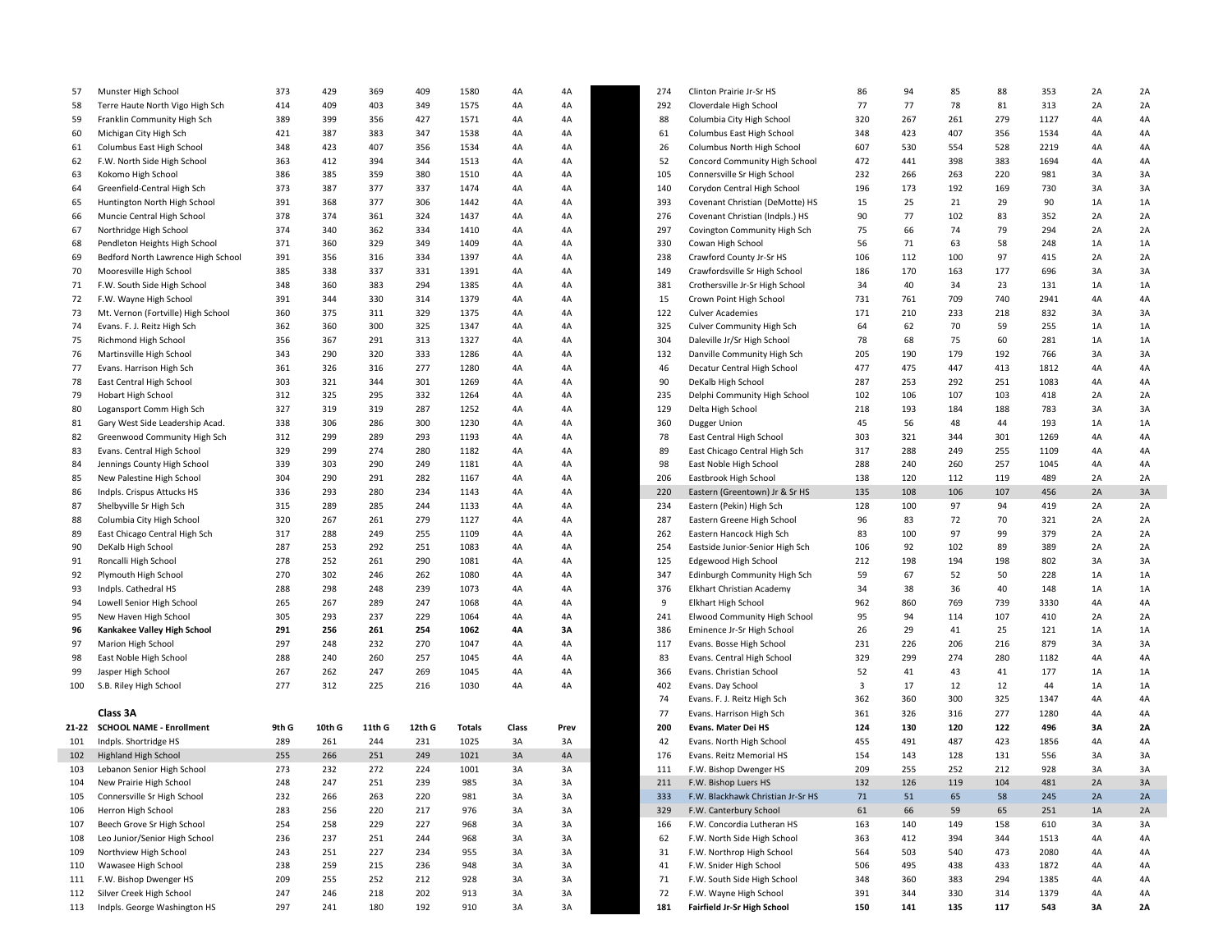| 57  | Munster High School                | 373   | 429        | 369    | 409    | 1580   | 4A    | 4A   | 274 | Clinton Prairie Jr-Sr HS            | 86  | 94  | 85  | 88  | 353  | 2A | 2A       |
|-----|------------------------------------|-------|------------|--------|--------|--------|-------|------|-----|-------------------------------------|-----|-----|-----|-----|------|----|----------|
| 58  | Terre Haute North Vigo High Sch    | 414   | 409        | 403    | 349    | 1575   | 4A    | 4A   | 292 | Cloverdale High School              | 77  | 77  | 78  | 81  | 313  | 2A | 2A       |
| 59  | Franklin Community High Sch        | 389   | 399        | 356    | 427    | 1571   | 4A    | 4A   | 88  | Columbia City High School           | 320 | 267 | 261 | 279 | 1127 | 4A | 4A       |
| 60  | Michigan City High Sch             | 421   | 387        | 383    | 347    | 1538   | 4A    | 4A   | 61  | Columbus East High School           | 348 | 423 | 407 | 356 | 1534 | 4A | 4A       |
| 61  | Columbus East High School          | 348   | 423        | 407    | 356    | 1534   | 4A    | 4A   | 26  | Columbus North High School          | 607 | 530 | 554 | 528 | 2219 | 4A | 4A       |
| 62  | F.W. North Side High School        | 363   | 412        | 394    | 344    | 1513   | 4A    | 4A   | 52  | Concord Community High School       | 472 | 441 | 398 | 383 | 1694 | 4A | 4A       |
| 63  | Kokomo High School                 | 386   | 385        | 359    | 380    | 1510   | 4A    | 4A   | 105 | Connersville Sr High School         | 232 | 266 | 263 | 220 | 981  | 3A | 3A       |
| 64  | Greenfield-Central High Sch        | 373   | 387        | 377    | 337    | 1474   | 4A    | 4A   | 140 | Corydon Central High School         | 196 | 173 | 192 | 169 | 730  | 3A | 3A       |
| 65  | Huntington North High School       | 391   | 368        | 377    | 306    | 1442   | 4A    | 4A   | 393 | Covenant Christian (DeMotte) HS     | 15  | 25  | 21  | 29  | 90   | 1A | 1A       |
| 66  | Muncie Central High School         | 378   | 374        | 361    | 324    | 1437   | 4A    | 4A   | 276 | Covenant Christian (Indpls.) HS     | 90  | 77  | 102 | 83  | 352  | 2A | 2A       |
| 67  | Northridge High School             | 374   | 340        | 362    | 334    | 1410   | 4A    | 4A   | 297 | Covington Community High Sch        | 75  | 66  | 74  | 79  | 294  | 2A | 2A       |
| 68  | Pendleton Heights High School      | 371   | 360        | 329    | 349    | 1409   | 4A    | 4A   | 330 | Cowan High School                   | 56  | 71  | 63  | 58  | 248  | 1A | 1A       |
| 69  | Bedford North Lawrence High School | 391   | 356        | 316    | 334    | 1397   | 4A    | 4A   | 238 | Crawford County Jr-Sr HS            | 106 | 112 | 100 | 97  | 415  | 2A | 2A       |
| 70  | Mooresville High School            | 385   | 338        | 337    | 331    | 1391   | 4A    | 4A   | 149 | Crawfordsville Sr High School       | 186 | 170 | 163 | 177 | 696  | 3A | 3A       |
| 71  | F.W. South Side High School        | 348   | 360        | 383    | 294    | 1385   | 4A    | 4A   | 381 | Crothersville Jr-Sr High School     | 34  | 40  | 34  | 23  | 131  | 1A | 1A       |
| 72  | F.W. Wayne High School             | 391   | 344        | 330    | 314    | 1379   | 4A    | 4A   | 15  | Crown Point High School             | 731 | 761 | 709 | 740 | 2941 | 4A | 4A       |
| 73  | Mt. Vernon (Fortville) High School | 360   | 375        | 311    | 329    | 1375   | 4A    | 4A   | 122 | <b>Culver Academies</b>             | 171 | 210 | 233 | 218 | 832  | 3A | 3A       |
| 74  | Evans. F. J. Reitz High Sch        | 362   | 360        | 300    | 325    | 1347   | 4A    | 4A   | 325 | <b>Culver Community High Sch</b>    | 64  | 62  | 70  | 59  | 255  | 1A | $1A$     |
| 75  | Richmond High School               | 356   | 367        | 291    | 313    | 1327   | 4A    | 4A   | 304 | Daleville Jr/Sr High School         | 78  | 68  | 75  | 60  | 281  | 1A | 1A       |
| 76  | Martinsville High School           | 343   | 290        | 320    | 333    | 1286   | 4A    | 4A   | 132 | Danville Community High Sch         | 205 | 190 | 179 | 192 | 766  | 3A | 3A       |
| 77  | Evans. Harrison High Sch           | 361   | 326        | 316    | 277    | 1280   | 4A    | 4A   | 46  | Decatur Central High School         | 477 | 475 | 447 | 413 | 1812 | 4A | 4A       |
| 78  | East Central High School           | 303   | 321        | 344    | 301    | 1269   | 4A    | 4A   | 90  | DeKalb High School                  | 287 | 253 | 292 | 251 | 1083 | 4A | 4A       |
| 79  | Hobart High School                 | 312   | 325        | 295    | 332    | 1264   | 4A    | 4A   | 235 | Delphi Community High School        | 102 | 106 | 107 | 103 | 418  | 2A | 2A       |
| 80  |                                    | 327   | 319        | 319    | 287    | 1252   | 4A    | 4A   | 129 | Delta High School                   | 218 | 193 | 184 | 188 | 783  | 3A | 3A       |
|     | Logansport Comm High Sch           | 338   |            |        |        |        |       | 4A   |     |                                     |     |     |     |     | 193  |    |          |
| 81  | Gary West Side Leadership Acad.    |       | 306<br>299 | 286    | 300    | 1230   | 4A    | 4A   | 360 | Dugger Union                        | 45  | 56  | 48  | 44  | 1269 | 1A | 1A<br>4A |
| 82  | Greenwood Community High Sch       | 312   |            | 289    | 293    | 1193   | 4A    |      | 78  | East Central High School            | 303 | 321 | 344 | 301 |      | 4A |          |
| 83  | Evans. Central High School         | 329   | 299        | 274    | 280    | 1182   | 4A    | 4A   | 89  | East Chicago Central High Sch       | 317 | 288 | 249 | 255 | 1109 | 4A | 4A       |
| 84  | Jennings County High School        | 339   | 303        | 290    | 249    | 1181   | 4A    | 4A   | 98  | East Noble High School              | 288 | 240 | 260 | 257 | 1045 | 4A | 4A       |
| 85  | New Palestine High School          | 304   | 290        | 291    | 282    | 1167   | 4A    | 4A   | 206 | Eastbrook High School               | 138 | 120 | 112 | 119 | 489  | 2A | 2A       |
| 86  | Indpls. Crispus Attucks HS         | 336   | 293        | 280    | 234    | 1143   | 4A    | 4A   | 220 | Eastern (Greentown) Jr & Sr HS      | 135 | 108 | 106 | 107 | 456  | 2A | 3A       |
| 87  | Shelbyville Sr High Sch            | 315   | 289        | 285    | 244    | 1133   | 4A    | 4A   | 234 | Eastern (Pekin) High Sch            | 128 | 100 | 97  | 94  | 419  | 2A | 2A       |
| 88  | Columbia City High School          | 320   | 267        | 261    | 279    | 1127   | 4A    | 4A   | 287 | Eastern Greene High School          | 96  | 83  | 72  | 70  | 321  | 2A | 2A       |
| 89  | East Chicago Central High Sch      | 317   | 288        | 249    | 255    | 1109   | 4A    | 4A   | 262 | Eastern Hancock High Sch            | 83  | 100 | 97  | 99  | 379  | 2A | 2A       |
| 90  | DeKalb High School                 | 287   | 253        | 292    | 251    | 1083   | 4A    | 4A   | 254 | Eastside Junior-Senior High Sch     | 106 | 92  | 102 | 89  | 389  | 2A | 2A       |
| 91  | Roncalli High School               | 278   | 252        | 261    | 290    | 1081   | 4A    | 4A   | 125 | Edgewood High School                | 212 | 198 | 194 | 198 | 802  | 3A | 3A       |
| 92  | Plymouth High School               | 270   | 302        | 246    | 262    | 1080   | 4A    | 4A   | 347 | Edinburgh Community High Sch        | 59  | 67  | 52  | 50  | 228  | 1A | 1A       |
| 93  | Indpls. Cathedral HS               | 288   | 298        | 248    | 239    | 1073   | 4A    | 4A   | 376 | Elkhart Christian Academy           | 34  | 38  | 36  | 40  | 148  | 1A | 1A       |
| 94  | Lowell Senior High School          | 265   | 267        | 289    | 247    | 1068   | 4A    | 4A   | 9   | <b>Elkhart High School</b>          | 962 | 860 | 769 | 739 | 3330 | 4A | 4A       |
| 95  | New Haven High School              | 305   | 293        | 237    | 229    | 1064   | 4A    | 4A   | 241 | <b>Elwood Community High School</b> | 95  | 94  | 114 | 107 | 410  | 2A | 2A       |
| 96  | Kankakee Valley High School        | 291   | 256        | 261    | 254    | 1062   | 4A    | 3A   | 386 | Eminence Jr-Sr High School          | 26  | 29  | 41  | 25  | 121  | 1A | 1A       |
| 97  | Marion High School                 | 297   | 248        | 232    | 270    | 1047   | 4A    | 4A   | 117 | Evans. Bosse High School            | 231 | 226 | 206 | 216 | 879  | 3A | 3A       |
| 98  | East Noble High School             | 288   | 240        | 260    | 257    | 1045   | 4A    | 4A   | 83  | Evans. Central High School          | 329 | 299 | 274 | 280 | 1182 | 4A | 4A       |
| 99  | Jasper High School                 | 267   | 262        | 247    | 269    | 1045   | 4A    | 4A   | 366 | Evans. Christian School             | 52  | 41  | 43  | 41  | 177  | 1A | 1A       |
| 100 | S.B. Riley High School             | 277   | 312        | 225    | 216    | 1030   | 4A    | 4A   | 402 | Evans. Day School                   | 3   | 17  | 12  | 12  | 44   | 1A | 1A       |
|     |                                    |       |            |        |        |        |       |      | 74  | Evans. F. J. Reitz High Sch         | 362 | 360 | 300 | 325 | 1347 | 4A | 4A       |
|     | Class 3A                           |       |            |        |        |        |       |      | 77  | Evans. Harrison High Sch            | 361 | 326 | 316 | 277 | 1280 | 4A | 4A       |
|     | 21-22 SCHOOL NAME - Enrollment     | 9th G | 10th G     | 11th G | 12th G | Totals | Class | Prev | 200 | Evans. Mater Dei HS                 | 124 | 130 | 120 | 122 | 496  | 3A | 2A       |
| 101 | Indpls. Shortridge HS              | 289   | 261        | 244    | 231    | 1025   | 3A    | 3A   | 42  | Evans. North High School            | 455 | 491 | 487 | 423 | 1856 | 4A | 4A       |
| 102 | <b>Highland High School</b>        | 255   | 266        | 251    | 249    | 1021   | 3A    | 4A   | 176 | Evans. Reitz Memorial HS            | 154 | 143 | 128 | 131 | 556  | 3A | 3A       |
| 103 | Lebanon Senior High School         | 273   | 232        | 272    | 224    | 1001   | 3A    | 3A   | 111 | F.W. Bishop Dwenger HS              | 209 | 255 | 252 | 212 | 928  | 3A | 3A       |
| 104 | New Prairie High School            | 248   | 247        | 251    | 239    | 985    | 3A    | ЗА   | 211 | F.W. Bishop Luers HS                | 132 | 126 | 119 | 104 | 481  | 2A | 3A       |
| 105 | Connersville Sr High School        | 232   | 266        | 263    | 220    | 981    | 3A    | 3A   | 333 | F.W. Blackhawk Christian Jr-Sr HS   | 71  | 51  | 65  | 58  | 245  | 2A | 2A       |
| 106 | Herron High School                 | 283   | 256        | 220    | 217    | 976    | 3A    | 3A   | 329 | F.W. Canterbury School              | 61  | 66  | 59  | 65  | 251  | 1A | 2A       |
| 107 | Beech Grove Sr High School         | 254   | 258        | 229    | 227    | 968    | 3A    | 3A   | 166 | F.W. Concordia Lutheran HS          | 163 | 140 | 149 | 158 | 610  | 3A | 3A       |
| 108 | Leo Junior/Senior High School      | 236   | 237        | 251    | 244    | 968    | 3A    | 3A   | 62  | F.W. North Side High School         | 363 | 412 | 394 | 344 | 1513 | 4A | 4A       |
| 109 | Northview High School              | 243   | 251        | 227    | 234    | 955    | 3A    | 3A   | 31  | F.W. Northrop High School           | 564 | 503 | 540 | 473 | 2080 | 4A | 4A       |
| 110 | Wawasee High School                | 238   | 259        | 215    | 236    | 948    | 3A    | 3A   | 41  | F.W. Snider High School             | 506 | 495 | 438 | 433 | 1872 | 4A | 4A       |
| 111 | F.W. Bishop Dwenger HS             | 209   | 255        | 252    | 212    | 928    | 3A    | 3A   | 71  | F.W. South Side High School         | 348 | 360 | 383 | 294 | 1385 | 4A | 4A       |
| 112 | Silver Creek High School           | 247   | 246        | 218    | 202    | 913    | 3A    | 3A   | 72  | F.W. Wayne High School              | 391 | 344 | 330 | 314 | 1379 | 4A | 4A       |
| 113 | Indpls. George Washington HS       | 297   | 241        | 180    | 192    | 910    | 3A    | 3A   | 181 | Fairfield Jr-Sr High School         | 150 | 141 | 135 | 117 | 543  | 3A | 2A       |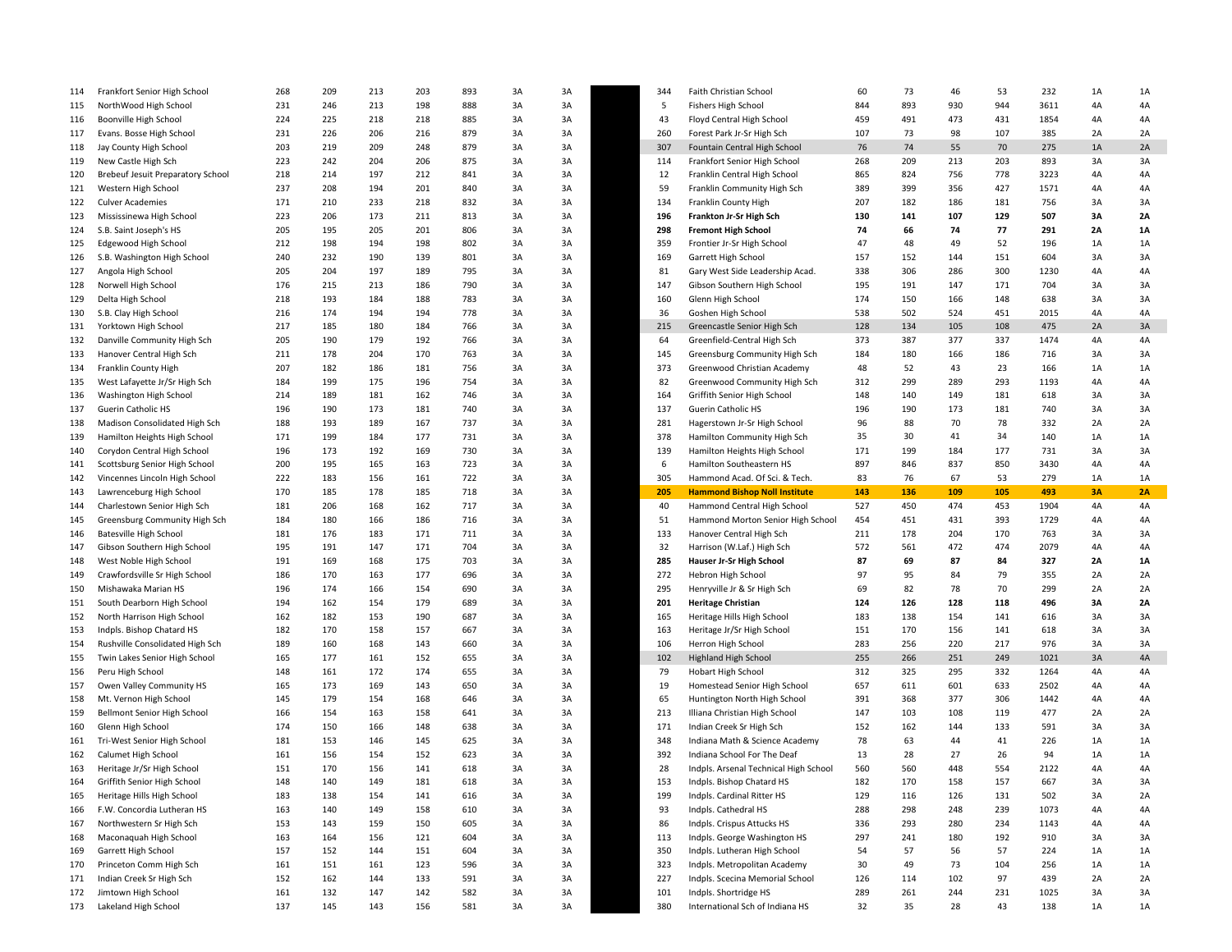| 114 | Frankfort Senior High School             | 268        | 209 | 213 | 203 | 893        | 3A | 3A       | 344 | Faith Christian School                | 60  | 73  | 46  | 53       | 232        | 1A        | 1A        |
|-----|------------------------------------------|------------|-----|-----|-----|------------|----|----------|-----|---------------------------------------|-----|-----|-----|----------|------------|-----------|-----------|
| 115 | NorthWood High School                    | 231        | 246 | 213 | 198 | 888        | 3A | 3A       | 5   | Fishers High School                   | 844 | 893 | 930 | 944      | 3611       | 4A        | 4A        |
| 116 | Boonville High School                    | 224        | 225 | 218 | 218 | 885        | 3A | 3A       | 43  | Floyd Central High School             | 459 | 491 | 473 | 431      | 1854       | 4A        | 4A        |
| 117 | Evans. Bosse High School                 | 231        | 226 | 206 | 216 | 879        | 3A | 3A       | 260 | Forest Park Jr-Sr High Sch            | 107 | 73  | 98  | 107      | 385        | 2A        | 2A        |
| 118 | Jay County High School                   | 203        | 219 | 209 | 248 | 879        | 3A | 3A       | 307 | Fountain Central High School          | 76  | 74  | 55  | 70       | 275        | 1A        | 2A        |
| 119 | New Castle High Sch                      | 223        | 242 | 204 | 206 | 875        | 3A | 3A       | 114 | Frankfort Senior High School          | 268 | 209 | 213 | 203      | 893        | 3A        | 3A        |
| 120 | <b>Brebeuf Jesuit Preparatory School</b> | 218        | 214 | 197 | 212 | 841        | 3A | 3A       | 12  | Franklin Central High School          | 865 | 824 | 756 | 778      | 3223       | 4A        | 4A        |
| 121 | Western High School                      | 237        | 208 | 194 | 201 | 840        | 3A | 3A       | 59  | Franklin Community High Sch           | 389 | 399 | 356 | 427      | 1571       | 4A        | 4A        |
| 122 | <b>Culver Academies</b>                  | 171        | 210 | 233 | 218 | 832        | 3A | 3A       | 134 | Franklin County High                  | 207 | 182 | 186 | 181      | 756        | 3A        | 3A        |
| 123 | Mississinewa High School                 | 223        | 206 | 173 | 211 | 813        | 3A | 3A       | 196 | Frankton Jr-Sr High Sch               | 130 | 141 | 107 | 129      | 507        | 3A        | <b>2A</b> |
| 124 | S.B. Saint Joseph's HS                   | 205        | 195 | 205 | 201 | 806        | 3A | 3A       | 298 | <b>Fremont High School</b>            | 74  | 66  | 74  | 77       | 291        | 2A        | 1A        |
| 125 | Edgewood High School                     | 212        | 198 | 194 | 198 | 802        | 3A | 3A       | 359 | Frontier Jr-Sr High School            | 47  | 48  | 49  | 52       | 196        | 1A        | 1A        |
| 126 | S.B. Washington High School              | 240        | 232 | 190 | 139 | 801        | 3A | 3A       | 169 | Garrett High School                   | 157 | 152 | 144 | 151      | 604        | 3A        | 3A        |
| 127 | Angola High School                       | 205        | 204 | 197 | 189 | 795        | 3A | 3A       | 81  | Gary West Side Leadership Acad.       | 338 | 306 | 286 | 300      | 1230       | 4A        | 4A        |
| 128 | Norwell High School                      | 176        | 215 | 213 | 186 | 790        | 3A | 3A       | 147 | Gibson Southern High School           | 195 | 191 | 147 | 171      | 704        | 3A        | 3A        |
| 129 | Delta High School                        | 218        | 193 | 184 | 188 | 783        | 3A | 3A       | 160 | Glenn High School                     | 174 | 150 | 166 | 148      | 638        | 3A        | 3A        |
| 130 | S.B. Clay High School                    | 216        | 174 | 194 | 194 | 778        | 3A | 3A       | 36  | Goshen High School                    | 538 | 502 | 524 | 451      | 2015       | 4A        | 4A        |
| 131 | Yorktown High School                     | 217        | 185 | 180 | 184 | 766        | 3A | 3A       | 215 | Greencastle Senior High Sch           | 128 | 134 | 105 | 108      | 475        | 2A        | 3A        |
| 132 | Danville Community High Sch              | 205        | 190 | 179 | 192 | 766        | 3A | 3A       | 64  | Greenfield-Central High Sch           | 373 | 387 | 377 | 337      | 1474       | 4A        | 4A        |
| 133 | Hanover Central High Sch                 | 211        | 178 | 204 | 170 | 763        | 3A | 3A       | 145 | Greensburg Community High Sch         | 184 | 180 | 166 | 186      | 716        | 3A        | 3A        |
| 134 | Franklin County High                     | 207        | 182 | 186 | 181 | 756        | 3A | 3A       | 373 | Greenwood Christian Academy           | 48  | 52  | 43  | 23       | 166        | 1A        | 1A        |
| 135 | West Lafayette Jr/Sr High Sch            | 184        | 199 | 175 | 196 | 754        | 3A | 3A       | 82  | Greenwood Community High Sch          | 312 | 299 | 289 | 293      | 1193       | 4A        | 4A        |
| 136 | Washington High School                   | 214        | 189 | 181 | 162 | 746        | 3A | 3A       | 164 | Griffith Senior High School           | 148 | 140 | 149 | 181      | 618        | 3A        | 3A        |
| 137 | Guerin Catholic HS                       | 196        | 190 | 173 | 181 | 740        | 3A | 3A       | 137 | Guerin Catholic HS                    | 196 | 190 | 173 | 181      | 740        | 3A        | 3A        |
|     |                                          |            |     |     |     |            |    |          |     |                                       |     |     |     |          |            |           |           |
| 138 | Madison Consolidated High Sch            | 188<br>171 | 193 | 189 | 167 | 737<br>731 | 3A | 3A<br>3A | 281 | Hagerstown Jr-Sr High School          | 96  | 88  | 70  | 78<br>34 | 332<br>140 | 2A<br>1A  | 2A        |
| 139 | Hamilton Heights High School             |            | 199 | 184 | 177 |            | 3A |          | 378 | Hamilton Community High Sch           | 35  | 30  | 41  |          |            |           | 1A        |
| 140 | Corydon Central High School              | 196        | 173 | 192 | 169 | 730        | 3A | 3A       | 139 | Hamilton Heights High School          | 171 | 199 | 184 | 177      | 731        | 3A        | 3A        |
| 141 | Scottsburg Senior High School            | 200        | 195 | 165 | 163 | 723        | 3A | 3A       | 6   | Hamilton Southeastern HS              | 897 | 846 | 837 | 850      | 3430       | 4A        | 4A        |
| 142 | Vincennes Lincoln High School            | 222        | 183 | 156 | 161 | 722        | 3A | 3A       | 305 | Hammond Acad. Of Sci. & Tech.         | 83  | 76  | 67  | 53       | 279        | 1A        | 1A        |
| 143 | Lawrenceburg High School                 | 170        | 185 | 178 | 185 | 718        | 3A | 3A       | 205 | <b>Hammond Bishop Noll Institute</b>  | 143 | 136 | 109 | 105      | 493        | <b>3A</b> | 2A        |
| 144 | Charlestown Senior High Sch              | 181        | 206 | 168 | 162 | 717        | 3A | 3A       | 40  | Hammond Central High School           | 527 | 450 | 474 | 453      | 1904       | 4A        | 4A        |
| 145 | Greensburg Community High Sch            | 184        | 180 | 166 | 186 | 716        | 3A | 3A       | 51  | Hammond Morton Senior High School     | 454 | 451 | 431 | 393      | 1729       | 4A        | 4A        |
| 146 | Batesville High School                   | 181        | 176 | 183 | 171 | 711        | 3A | 3A       | 133 | Hanover Central High Sch              | 211 | 178 | 204 | 170      | 763        | 3A        | 3A        |
| 147 | Gibson Southern High School              | 195        | 191 | 147 | 171 | 704        | 3A | 3A       | 32  | Harrison (W.Laf.) High Sch            | 572 | 561 | 472 | 474      | 2079       | 4A        | 4A        |
| 148 | West Noble High School                   | 191        | 169 | 168 | 175 | 703        | 3A | 3A       | 285 | Hauser Jr-Sr High School              | 87  | 69  | 87  | 84       | 327        | <b>2A</b> | 1A        |
| 149 | Crawfordsville Sr High School            | 186        | 170 | 163 | 177 | 696        | 3A | 3A       | 272 | Hebron High School                    | 97  | 95  | 84  | 79       | 355        | 2A        | 2A        |
| 150 | Mishawaka Marian HS                      | 196        | 174 | 166 | 154 | 690        | 3A | 3A       | 295 | Henryville Jr & Sr High Sch           | 69  | 82  | 78  | 70       | 299        | 2A        | 2A        |
| 151 | South Dearborn High School               | 194        | 162 | 154 | 179 | 689        | 3A | 3A       | 201 | <b>Heritage Christian</b>             | 124 | 126 | 128 | 118      | 496        | 3A        | 2A        |
| 152 | North Harrison High School               | 162        | 182 | 153 | 190 | 687        | 3A | 3A       | 165 | Heritage Hills High School            | 183 | 138 | 154 | 141      | 616        | 3A        | 3A        |
| 153 | Indpls. Bishop Chatard HS                | 182        | 170 | 158 | 157 | 667        | 3A | 3A       | 163 | Heritage Jr/Sr High School            | 151 | 170 | 156 | 141      | 618        | 3A        | 3A        |
| 154 | Rushville Consolidated High Sch          | 189        | 160 | 168 | 143 | 660        | 3A | 3A       | 106 | Herron High School                    | 283 | 256 | 220 | 217      | 976        | 3A        | 3A        |
| 155 | Twin Lakes Senior High School            | 165        | 177 | 161 | 152 | 655        | 3A | 3A       | 102 | <b>Highland High School</b>           | 255 | 266 | 251 | 249      | 1021       | 3A        | 4A        |
| 156 | Peru High School                         | 148        | 161 | 172 | 174 | 655        | 3A | 3A       | 79  | Hobart High School                    | 312 | 325 | 295 | 332      | 1264       | 4A        | 4A        |
| 157 | Owen Valley Community HS                 | 165        | 173 | 169 | 143 | 650        | 3A | 3A       | 19  | Homestead Senior High School          | 657 | 611 | 601 | 633      | 2502       | 4A        | 4A        |
| 158 | Mt. Vernon High School                   | 145        | 179 | 154 | 168 | 646        | 3A | 3A       | 65  | Huntington North High School          | 391 | 368 | 377 | 306      | 1442       | 4A        | 4A        |
| 159 | Bellmont Senior High School              | 166        | 154 | 163 | 158 | 641        | 3A | 3A       | 213 | Illiana Christian High School         | 147 | 103 | 108 | 119      | 477        | 2A        | 2A        |
| 160 | Glenn High School                        | 174        | 150 | 166 | 148 | 638        | 3A | 3A       | 171 | Indian Creek Sr High Sch              | 152 | 162 | 144 | 133      | 591        | 3A        | 3A        |
| 161 | Tri-West Senior High School              | 181        | 153 | 146 | 145 | 625        | 3A | 3A       | 348 | Indiana Math & Science Academy        | 78  | 63  | 44  | 41       | 226        | 1A        | 1A        |
| 162 | Calumet High School                      | 161        | 156 | 154 | 152 | 623        | 3A | 3A       | 392 | Indiana School For The Deaf           | 13  | 28  | 27  | 26       | 94         | 1A        | 1A        |
| 163 | Heritage Jr/Sr High School               | 151        | 170 | 156 | 141 | 618        | 3A | 3A       | 28  | Indpls. Arsenal Technical High School | 560 | 560 | 448 | 554      | 2122       | 4A        | 4A        |
| 164 | Griffith Senior High School              | 148        | 140 | 149 | 181 | 618        |    |          | 153 | Indpls. Bishop Chatard HS             | 182 | 170 | 158 | 157      | 667        | 3A        | 3A        |
| 165 | Heritage Hills High School               | 183        | 138 | 154 | 141 | 616        | 3A | 3A       | 199 | Indpls. Cardinal Ritter HS            | 129 | 116 | 126 | 131      | 502        | 3A        | 2A        |
| 166 | F.W. Concordia Lutheran HS               | 163        | 140 | 149 | 158 | 610        | 3A | 3A       | 93  | Indpls. Cathedral HS                  | 288 | 298 | 248 | 239      | 1073       | 4A        | 4A        |
| 167 | Northwestern Sr High Sch                 | 153        | 143 | 159 | 150 | 605        | 3A | 3A       | 86  | Indpls. Crispus Attucks HS            | 336 | 293 | 280 | 234      | 1143       | 4A        | 4A        |
| 168 | Maconaquah High School                   | 163        | 164 | 156 | 121 | 604        | 3A | 3A       | 113 | Indpls. George Washington HS          | 297 | 241 | 180 | 192      | 910        | 3A        | 3A        |
| 169 | Garrett High School                      | 157        | 152 | 144 | 151 | 604        | 3A | 3A       | 350 | Indpls. Lutheran High School          | 54  | 57  | 56  | 57       | 224        | 1A        | 1A        |
| 170 | Princeton Comm High Sch                  | 161        | 151 | 161 | 123 | 596        | 3A | 3A       | 323 | Indpls. Metropolitan Academy          | 30  | 49  | 73  | 104      | 256        | 1A        | 1A        |
| 171 | Indian Creek Sr High Sch                 | 152        | 162 | 144 | 133 | 591        | 3A | 3A       | 227 | Indpls. Scecina Memorial School       | 126 | 114 | 102 | 97       | 439        | 2A        | 2A        |
| 172 | Jimtown High School                      | 161        | 132 | 147 | 142 | 582        | 3A | 3A       | 101 | Indpls. Shortridge HS                 | 289 | 261 | 244 | 231      | 1025       | 3A        | 3A        |
| 173 | Lakeland High School                     | 137        | 145 | 143 | 156 | 581        | 3A | 3A       | 380 | International Sch of Indiana HS       | 32  | 35  | 28  | 43       | 138        | 1A        | 1A        |
|     |                                          |            |     |     |     |            |    |          |     |                                       |     |     |     |          |            |           |           |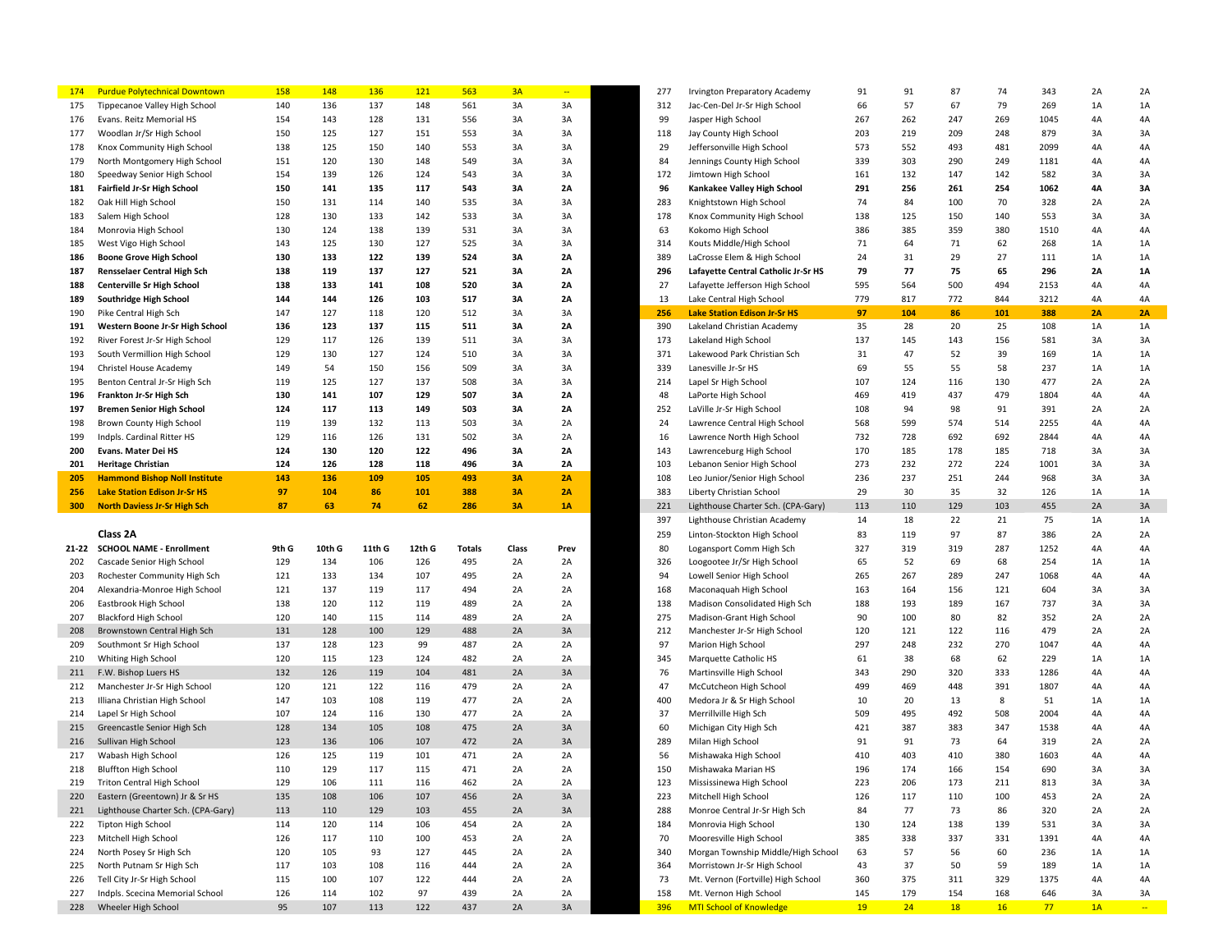| 174        | <b>Purdue Polytechnical Downtown</b>                   | <b>158</b> | 148        | 136        | 121       | 563        | 3A        |           | 277        | <b>Irvington Preparatory Academy</b>                     | 91        | 91        | 87        | 74        | 343       | 2A       | 2A           |
|------------|--------------------------------------------------------|------------|------------|------------|-----------|------------|-----------|-----------|------------|----------------------------------------------------------|-----------|-----------|-----------|-----------|-----------|----------|--------------|
| 175        | Tippecanoe Valley High School                          | 140        | 136        | 137        | 148       | 561        | 3A        | 3A        | 312        | Jac-Cen-Del Jr-Sr High School                            | 66        | 57        | 67        | 79        | 269       | 1A       | 1A           |
| 176        | Evans. Reitz Memorial HS                               | 154        | 143        | 128        | 131       | 556        | 3A        | 3A        | 99         | Jasper High School                                       | 267       | 262       | 247       | 269       | 1045      | 4A       | 4A           |
| 177        | Woodlan Jr/Sr High School                              | 150        | 125        | 127        | 151       | 553        | 3A        | 3A        | 118        | Jay County High School                                   | 203       | 219       | 209       | 248       | 879       | 3A       | 3A           |
| 178        | Knox Community High School                             | 138        | 125        | 150        | 140       | 553        | 3A        | 3A        | 29         | Jeffersonville High School                               | 573       | 552       | 493       | 481       | 2099      | 4A       | 4A           |
| 179        | North Montgomery High School                           | 151        | 120        | 130        | 148       | 549        | 3A        | 3A        | 84         | Jennings County High School                              | 339       | 303       | 290       | 249       | 1181      | 4A       | 4A           |
| 180        | Speedway Senior High School                            | 154        | 139        | 126        | 124       | 543        | 3A        | 3A        | 172        | Jimtown High School                                      | 161       | 132       | 147       | 142       | 582       | 3A       | 3A           |
| 181        | Fairfield Jr-Sr High School                            | 150        | 141        | 135        | 117       | 543        | 3A        | 2A        | 96         | Kankakee Valley High School                              | 291       | 256       | 261       | 254       | 1062      | 4A       | 3A           |
| 182        | Oak Hill High School                                   | 150        | 131        | 114        | 140       | 535        | 3A        | 3A        | 283        | Knightstown High School                                  | 74        | 84        | 100       | 70        | 328       | 2A       | 2A           |
| 183        | Salem High School                                      | 128        | 130        | 133        | 142       | 533        | 3A        | 3A        | 178        | Knox Community High School                               | 138       | 125       | 150       | 140       | 553       | 3A       | 3A           |
| 184        | Monrovia High School                                   | 130        | 124        | 138        | 139       | 531        | 3A        | 3A        | 63         | Kokomo High School                                       | 386       | 385       | 359       | 380       | 1510      | 4A       | 4A           |
| 185        | West Vigo High School                                  | 143        | 125        | 130        | 127       | 525        | 3A        | 3A        | 314        | Kouts Middle/High School                                 | 71        | 64        | 71        | 62        | 268       | 1A       | 1A           |
|            |                                                        | 130        | 133        | 122        | 139       | 524        |           | 2A        | 389        |                                                          | 24        | 31        | 29        | 27        |           | 1A       | 1A           |
| 186        | <b>Boone Grove High School</b>                         |            |            |            |           |            | 3A        |           |            | LaCrosse Elem & High School                              |           | 77        |           |           | 111       |          |              |
| 187        | Rensselaer Central High Sch                            | 138        | 119        | 137        | 127       | 521        | 3A        | <b>2A</b> | 296        | Lafayette Central Catholic Jr-Sr HS                      | 79        |           | 75        | 65        | 296       | 2A       | 1A           |
| 188        | <b>Centerville Sr High School</b>                      | 138        | 133        | 141        | 108       | 520        | 3A        | <b>2A</b> | 27         | Lafayette Jefferson High School                          | 595       | 564       | 500       | 494       | 2153      | 4A       | 4A           |
| 189        | Southridge High School                                 | 144        | 144        | 126        | 103       | 517        | 3A        | 2A        | 13         | Lake Central High School                                 | 779       | 817       | 772       | 844       | 3212      | 4A       | 4A           |
| 190        | Pike Central High Sch                                  | 147        | 127        | 118        | 120       | 512        | 3A        | 3A        | 256        | <b>Lake Station Edison Jr-Sr HS</b>                      | 97        | 104       | 86        | 101       | 388       | 2A       | 2A           |
| 191        | Western Boone Jr-Sr High School                        | 136        | 123        | 137        | 115       | 511        | 3A        | 2A        | 390        | Lakeland Christian Academy                               | 35        | 28        | 20        | 25        | 108       | 1A       | 1A           |
| 192        | River Forest Jr-Sr High School                         | 129        | 117        | 126        | 139       | 511        | 3A        | 3A        | 173        | Lakeland High School                                     | 137       | 145       | 143       | 156       | 581       | 3A       | 3A           |
| 193        | South Vermillion High School                           | 129        | 130        | 127        | 124       | 510        | 3A        | 3A        | 371        | Lakewood Park Christian Sch                              | 31        | 47        | 52        | 39        | 169       | 1A       | 1A           |
| 194        | Christel House Academy                                 | 149        | 54         | 150        | 156       | 509        | 3A        | 3A        | 339        | Lanesville Jr-Sr HS                                      | 69        | 55        | 55        | 58        | 237       | 1A       | 1A           |
| 195        | Benton Central Jr-Sr High Sch                          | 119        | 125        | 127        | 137       | 508        | 3A        | 3A        | 214        | Lapel Sr High School                                     | 107       | 124       | 116       | 130       | 477       | 2A       | 2A           |
| 196        | Frankton Jr-Sr High Sch                                | 130        | 141        | 107        | 129       | 507        | 3A        | 2A        | 48         | LaPorte High School                                      | 469       | 419       | 437       | 479       | 1804      | 4A       | 4A           |
| 197        | <b>Bremen Senior High School</b>                       | 124        | 117        | 113        | 149       | 503        | 3A        | 2A        | 252        | LaVille Jr-Sr High School                                | 108       | 94        | 98        | 91        | 391       | 2A       | 2A           |
| 198        | Brown County High School                               | 119        | 139        | 132        | 113       | 503        | 3A        | 2A        | 24         | Lawrence Central High School                             | 568       | 599       | 574       | 514       | 2255      | 4A       | 4A           |
| 199        | Indpls. Cardinal Ritter HS                             | 129        | 116        | 126        | 131       | 502        | 3A        | 2A        | 16         | Lawrence North High School                               | 732       | 728       | 692       | 692       | 2844      | 4A       | 4A           |
| 200        | Evans. Mater Dei HS                                    | 124        | 130        | 120        | 122       | 496        | 3A        | <b>2A</b> | 143        | Lawrenceburg High School                                 | 170       | 185       | 178       | 185       | 718       | 3A       | 3A           |
| 201        | <b>Heritage Christian</b>                              | 124        | 126        | 128        | 118       | 496        | 3A        | <b>2A</b> | 103        | Lebanon Senior High School                               | 273       | 232       | 272       | 224       | 1001      | 3A       | 3A           |
| 205        | <b>Hammond Bishop Noll Institute</b>                   | 143        | 136        | 109        | 105       | 493        | 3A        | 2A        | 108        | Leo Junior/Senior High School                            | 236       | 237       | 251       | 244       | 968       | 3A       | 3A           |
| 256        | <b>Lake Station Edison Jr-Sr HS</b>                    | 97         | 104        | 86         | 101       | 388        | <b>3A</b> | 2A        | 383        | Liberty Christian School                                 | 29        | 30        | 35        | 32        | 126       | 1A       | 1A           |
|            |                                                        |            |            |            |           |            |           |           |            |                                                          |           |           |           |           |           |          |              |
|            |                                                        |            |            |            |           |            |           |           |            |                                                          |           |           |           |           |           |          |              |
| 300        | <b>North Daviess Jr-Sr High Sch</b>                    | 87         | 63         | 74         | 62        | 286        | <b>3A</b> | <b>1A</b> | 221        | Lighthouse Charter Sch. (CPA-Gary)                       | 113       | 110       | 129       | 103       | 455       | 2A       | 3A           |
|            |                                                        |            |            |            |           |            |           |           | 397        | Lighthouse Christian Academy                             | 14        | 18        | 22        | 21        | 75        | 1A       | 1A           |
|            | Class 2A                                               |            |            |            |           |            |           |           | 259        | Linton-Stockton High School                              | 83        | 119       | 97        | 87        | 386       | 2A       | 2A           |
|            | 21-22 SCHOOL NAME - Enrollment                         | 9th G      | 10th G     | 11th G     | 12th G    | Totals     | Class     | Prev      | 80         | Logansport Comm High Sch                                 | 327       | 319       | 319       | 287       | 1252      | 4A       | 4A           |
| 202        | Cascade Senior High School                             | 129        | 134        | 106        | 126       | 495        | 2A        | 2A        | 326        | Loogootee Jr/Sr High School                              | 65        | 52        | 69        | 68        | 254       | 1A       | 1A           |
| 203        | Rochester Community High Sch                           | 121        | 133        | 134        | 107       | 495        | 2A        | 2A        | 94         | Lowell Senior High School                                | 265       | 267       | 289       | 247       | 1068      | 4A       | 4A           |
| 204        | Alexandria-Monroe High School                          | 121        | 137        | 119        | 117       | 494        | 2A        | 2A        | 168        | Maconaquah High School                                   | 163       | 164       | 156       | 121       | 604       | 3A       | 3A           |
| 206        | Eastbrook High School                                  | 138        | 120        | 112        | 119       | 489        | 2A        | 2A        | 138        | Madison Consolidated High Sch                            | 188       | 193       | 189       | 167       | 737       | 3A       | 3A           |
| 207        | <b>Blackford High School</b>                           | 120        | 140        | 115        | 114       | 489        | 2A        | 2A        | 275        | Madison-Grant High School                                | 90        | 100       | 80        | 82        | 352       | 2A       | 2A           |
| 208        | Brownstown Central High Sch                            | 131        | 128        | 100        | 129       | 488        | 2A        | 3A        | 212        | Manchester Jr-Sr High School                             | 120       | 121       | 122       | 116       | 479       | 2A       | 2A           |
| 209        | Southmont Sr High School                               | 137        | 128        | 123        | 99        | 487        | 2A        | 2A        | 97         | Marion High School                                       | 297       | 248       | 232       | 270       | 1047      | 4A       | 4A           |
| 210        | Whiting High School                                    | 120        | 115        | 123        | 124       | 482        | 2A        | 2A        | 345        | Marquette Catholic HS                                    | 61        | 38        | 68        | 62        | 229       | 1A       | 1A           |
| 211        | F.W. Bishop Luers HS                                   | 132        | 126        | 119        | 104       | 481        | 2A        | 3A        | 76         | Martinsville High School                                 | 343       | 290       | 320       | 333       | 1286      | 4A       | 4A           |
| 212        | Manchester Jr-Sr High School                           | 120        | 121        | 122        | 116       | 479        | 2A        | 2A        | 47         | McCutcheon High School                                   | 499       | 469       | 448       | 391       | 1807      | 4A       | 4A           |
| 213        | Illiana Christian High School                          | 147        | 103        | 108        | 119       | 477        | 2A        | 2A        | 400        | Medora Jr & Sr High School                               | 10        | 20        | 13        | 8         | 51        | 1A       | 1A           |
| 214        | Lapel Sr High School                                   | 107        | 124        | 116        | 130       | 477        | 2A        | 2A        | 37         | Merrillville High Sch                                    | 509       | 495       | 492       | 508       | 2004      | 4A       | 4A           |
| 215        | Greencastle Senior High Sch                            | 128        | 134        | 105        | 108       | 475        | 2A        | 3A        | 60         | Michigan City High Sch                                   | 421       | 387       | 383       | 347       | 1538      | 4A       | 4A           |
| 216        | Sullivan High School                                   | 123        | 136        | 106        | 107       | 472        | 2A        | 3A        | 289        | Milan High School                                        | 91        | 91        | 73        | 64        | 319       | 2A       | 2A           |
| 217        | Wabash High School                                     | 126        | 125        | 119        | 101       | 471        | 2A        | 2A        | 56         | Mishawaka High School                                    | 410       | 403       | 410       | 380       | 1603      | 4A       | 4A           |
| 218        | <b>Bluffton High School</b>                            | 110        | 129        | 117        | 115       | 471        | 2A        | 2A        | 150        | Mishawaka Marian HS                                      | 196       | 174       | 166       | 154       | 690       | 3A       | 3A           |
| 219        | Triton Central High School                             | 129        | 106        | 111        | 116       | 462        |           |           | 123        | Mississinewa High School                                 | 223       | 206       | 173       |           | 813       |          | 3A           |
| 220        | Eastern (Greentown) Jr & Sr HS                         | 135        | 108        | 106        | 107       | 456        | 2A        | 3A        | 223        | Mitchell High School                                     | 126       | 117       | 110       | 100       | 453       | 2A       | 2A           |
| 221        | Lighthouse Charter Sch. (CPA-Gary)                     | 113        | 110        | 129        | 103       | 455        | 2A        | 3A        | 288        | Monroe Central Jr-Sr High Sch                            | 84        | 77        | 73        | 86        | 320       | 2A       | 2A           |
| 222        | Tipton High School                                     | 114        |            |            |           |            |           |           | 184        | Monrovia High School                                     | 130       |           |           |           |           | 3A       | 3A           |
|            |                                                        |            | 120        | 114        | 106       | 454        | 2A        | 2A        |            |                                                          |           | 124       | 138       | 139       | 531       |          |              |
| 223        | Mitchell High School                                   | 126        | 117        | 110        | 100       | 453        | 2A        | 2A        | 70         | Mooresville High School                                  | 385       | 338       | 337       | 331       | 1391      | 4A       | 4A           |
| 224        | North Posey Sr High Sch                                | 120        | 105        | 93         | 127       | 445        | 2A        | 2A        | 340        | Morgan Township Middle/High School                       | 63        | 57        | 56        | 60        | 236       | 1A       | 1A           |
| 225        | North Putnam Sr High Sch                               | 117        | 103        | 108        | 116       | 444        | 2A        | 2A        | 364        | Morristown Jr-Sr High School                             | 43        | 37        | 50        | 59        | 189       | 1A       | 1A           |
| 226        | Tell City Jr-Sr High School                            | 115        | 100        | 107        | 122       | 444        | 2A        | 2A        | 73         | Mt. Vernon (Fortville) High School                       | 360       | 375       | 311       | 329       | 1375      | 4A       | 4A           |
| 227<br>228 | Indpls. Scecina Memorial School<br>Wheeler High School | 126<br>95  | 114<br>107 | 102<br>113 | 97<br>122 | 439<br>437 | 2A<br>2A  | 2A<br>3A  | 158<br>396 | Mt. Vernon High School<br><b>MTI School of Knowledge</b> | 145<br>19 | 179<br>24 | 154<br>18 | 168<br>16 | 646<br>77 | 3A<br>1A | 3A<br>$\sim$ |

| 277        | Irvington Preparatory Academy       | 91  | 91  | 87  | 74  | 343  | 2A | 2A |
|------------|-------------------------------------|-----|-----|-----|-----|------|----|----|
| 312        | Jac-Cen-Del Jr-Sr High School       | 66  | 57  | 67  | 79  | 269  | 1A | 1Α |
| 99         | Jasper High School                  | 267 | 262 | 247 | 269 | 1045 | 4A | 4A |
| 118        | Jay County High School              | 203 | 219 | 209 | 248 | 879  | 3A | 3A |
| 29         | Jeffersonville High School          | 573 | 552 | 493 | 481 | 2099 | 4A | 4A |
| 84         | Jennings County High School         | 339 | 303 | 290 | 249 | 1181 | 4A | 4A |
| 172        | Jimtown High School                 | 161 | 132 | 147 | 142 | 582  | 3A | 3A |
| 96         | Kankakee Valley High School         | 291 | 256 | 261 | 254 | 1062 | 4А | 3A |
| 283        | Knightstown High School             | 74  | 84  | 100 | 70  | 328  | 2A | 2A |
| 178        | Knox Community High School          | 138 | 125 | 150 | 140 | 553  | 3A | 3A |
| 63         | Kokomo High School                  | 386 | 385 | 359 | 380 | 1510 | 4A | 4A |
| 314        | Kouts Middle/High School            | 71  | 64  | 71  | 62  | 268  | 1A | 1A |
|            |                                     | 24  |     | 29  | 27  |      |    | 1A |
| 389        | LaCrosse Elem & High School         |     | 31  |     |     | 111  | 1A |    |
| 296        | Lafayette Central Catholic Jr-Sr HS | 79  | 77  | 75  | 65  | 296  | 2Α | 1A |
| 27         | Lafayette Jefferson High School     | 595 | 564 | 500 | 494 | 2153 | 4A | 4A |
| 13         | Lake Central High School            | 779 | 817 | 772 | 844 | 3212 | 4A | 4A |
| 256        | <b>Lake Station Edison Jr-Sr HS</b> | 97  | 104 | 86  | 101 | 388  | 2A | 2A |
| 390        | Lakeland Christian Academy          | 35  | 28  | 20  | 25  | 108  | 1A | 1A |
| 173        | Lakeland High School                | 137 | 145 | 143 | 156 | 581  | 3A | 3A |
| 371        | Lakewood Park Christian Sch         | 31  | 47  | 52  | 39  | 169  | 1A | 1A |
| 339        | Lanesville Jr-Sr HS                 | 69  | 55  | 55  | 58  | 237  | 1A | 1A |
| 214        | Lapel Sr High School                | 107 | 124 | 116 | 130 | 477  | 2A | 2A |
| 48         | LaPorte High School                 | 469 | 419 | 437 | 479 | 1804 | 4А | 4A |
| 252        | LaVille Jr-Sr High School           | 108 | 94  | 98  | 91  | 391  | 2A | 2A |
| 24         | Lawrence Central High School        | 568 | 599 | 574 | 514 | 2255 | 4A | 4A |
| 16         | Lawrence North High School          | 732 | 728 | 692 | 692 | 2844 | 4A | 4A |
| 143        | Lawrenceburg High School            | 170 | 185 | 178 | 185 | 718  | 3A | 3A |
| 103        | Lebanon Senior High School          | 273 | 232 | 272 | 224 | 1001 | 3A | 3A |
| 108        | Leo Junior/Senior High School       | 236 | 237 | 251 | 244 | 968  | 3A | 3A |
| 383        | Liberty Christian School            | 29  | 30  | 35  | 32  | 126  | 1A | 1A |
| 221        | Lighthouse Charter Sch. (CPA-Gary)  | 113 | 110 | 129 | 103 | 455  | 2A | 3A |
| 397        | Lighthouse Christian Academy        | 14  | 18  | 22  | 21  | 75   | 1A | 1A |
| 259        | Linton-Stockton High School         | 83  | 119 | 97  | 87  | 386  | 2A | 2A |
| 80         | Logansport Comm High Sch            | 327 | 319 | 319 | 287 | 1252 | 4A | 4A |
| 326        | Loogootee Jr/Sr High School         | 65  | 52  | 69  | 68  | 254  | 1A | 1A |
| 94         | Lowell Senior High School           | 265 | 267 | 289 | 247 | 1068 | 4A | 4A |
| 168        | Maconaquah High School              | 163 | 164 | 156 | 121 | 604  | 3A | 3A |
| 138        | Madison Consolidated High Sch       | 188 | 193 | 189 | 167 | 737  | 3A | 3A |
| 275        | Madison-Grant High School           | 90  | 100 | 80  | 82  | 352  | 2A | 2A |
| 212        | Manchester Jr-Sr High School        | 120 | 121 | 122 | 116 | 479  | 2A | 2A |
|            |                                     |     |     |     |     |      | 4A | 4A |
| 97         | Marion High School                  | 297 | 248 | 232 | 270 | 1047 |    |    |
| 345        | Marquette Catholic HS               | 61  | 38  | 68  | 62  | 229  | 1A | 1A |
| 76         | Martinsville High School            | 343 | 290 | 320 | 333 | 1286 | 4А | 4Α |
| 47         | McCutcheon High School              | 499 | 469 | 448 | 391 | 1807 | 4A | 4A |
| 400        | Medora Jr & Sr High School          | 10  | 20  | 13  | 8   | 51   | 1A | 1A |
| 37         | Merrillville High Sch               | 509 | 495 | 492 | 508 | 2004 | 4A | 4A |
| 60         | Michigan City High Sch              | 421 | 387 | 383 | 347 | 1538 | 4A | 4A |
| 289        | Milan High School                   | 91  | 91  | 73  | 64  | 319  | 2A | 2A |
| 56         | Mishawaka High School               | 410 | 403 | 410 | 380 | 1603 | 4A | 4A |
| 150        | Mishawaka Marian HS                 | 196 | 174 | 166 | 154 | 690  | 3A | 3A |
| 123        | Mississinewa High School            | 223 | 206 | 173 | 211 | 813  | ЗA | 3A |
| 223        | Mitchell High School                | 126 | 117 | 110 | 100 | 453  | 2A | 2A |
| 288        | Monroe Central Jr-Sr High Sch       | 84  | 77  | 73  | 86  | 320  | 2A | 2A |
| 184        | Monrovia High School                | 130 | 124 | 138 | 139 | 531  | 3A | 3A |
| 70         | Mooresville High School             | 385 | 338 | 337 | 331 | 1391 | 4А | 4Α |
| 340        | Morgan Township Middle/High School  | 63  | 57  | 56  | 60  | 236  | 1A | 1A |
| 364        | Morristown Jr-Sr High School        | 43  | 37  | 50  | 59  | 189  | 1A | 1A |
| 73         | Mt. Vernon (Fortville) High School  | 360 | 375 | 311 | 329 | 1375 | 4Α | 4Α |
| 158        | Mt. Vernon High School              | 145 | 179 | 154 | 168 | 646  | 3A | ЗΑ |
| <b>396</b> | <b>MTI School of Knowledge</b>      | 19  | 24  | 18  | 16  | 77   | 1A | ÷  |
|            |                                     |     |     |     |     |      |    |    |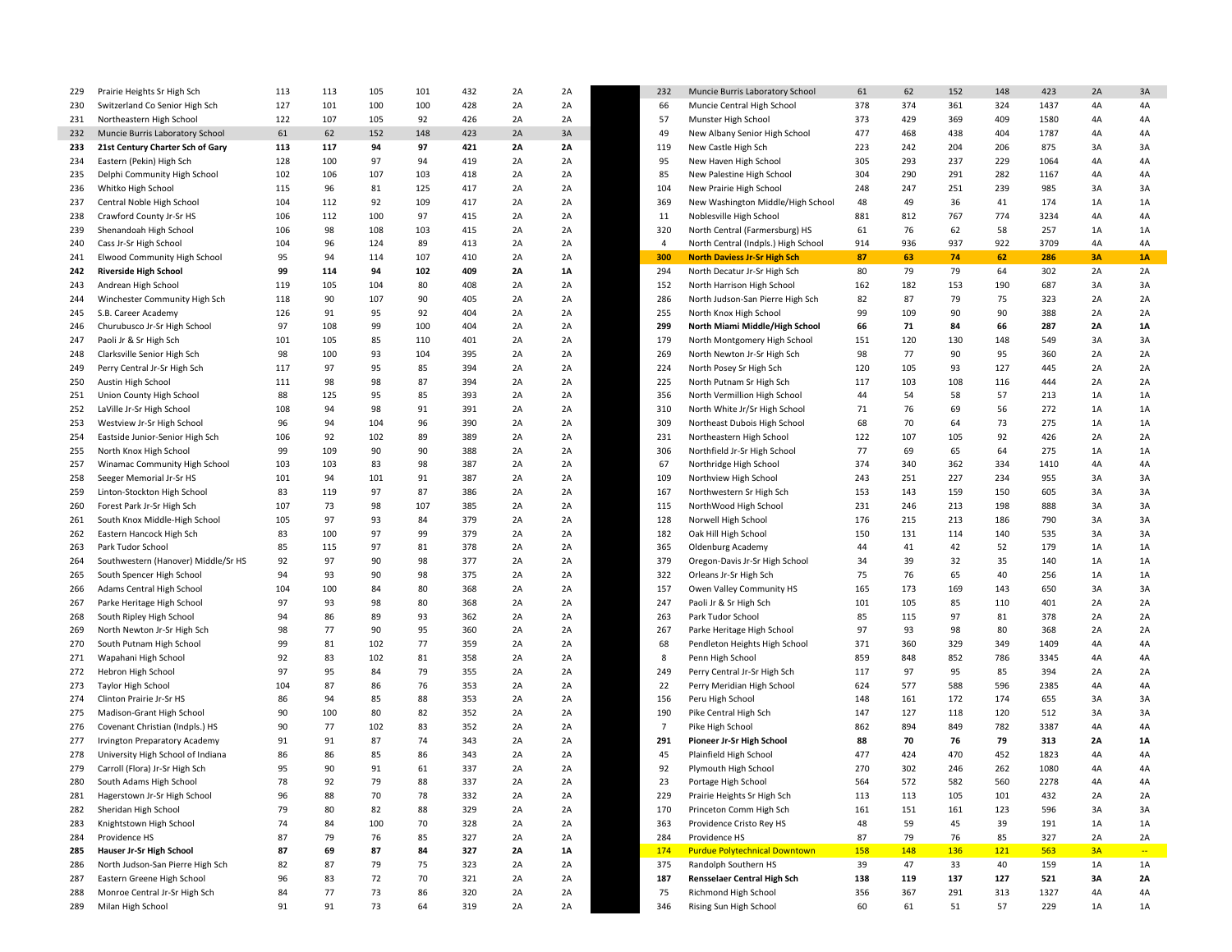| 229 | Prairie Heights Sr High Sch         | 113 | 113 | 105 | 101 | 432 | 2A | 2A | 232            | Muncie Burris Laboratory School      | 61  | 62  | 152 | 148 | 423  | 2A | 3A     |
|-----|-------------------------------------|-----|-----|-----|-----|-----|----|----|----------------|--------------------------------------|-----|-----|-----|-----|------|----|--------|
| 230 | Switzerland Co Senior High Sch      | 127 | 101 | 100 | 100 | 428 | 2A | 2A | 66             | Muncie Central High School           | 378 | 374 | 361 | 324 | 1437 | 4A | 4A     |
| 231 | Northeastern High School            | 122 | 107 | 105 | 92  | 426 | 2A | 2A | 57             | Munster High School                  | 373 | 429 | 369 | 409 | 1580 | 4A | 4A     |
| 232 | Muncie Burris Laboratory School     | 61  | 62  | 152 | 148 | 423 | 2A | 3A | 49             | New Albany Senior High School        | 477 | 468 | 438 | 404 | 1787 | 4A | 4Α     |
| 233 | 21st Century Charter Sch of Gary    | 113 | 117 | 94  | 97  | 421 | 2A | 2A | 119            | New Castle High Sch                  | 223 | 242 | 204 | 206 | 875  | 3A | 3A     |
| 234 | Eastern (Pekin) High Sch            | 128 | 100 | 97  | 94  | 419 | 2A | 2A | 95             | New Haven High School                | 305 | 293 | 237 | 229 | 1064 | 4A | 4A     |
| 235 | Delphi Community High School        | 102 | 106 | 107 | 103 | 418 | 2A | 2A | 85             | New Palestine High School            | 304 | 290 | 291 | 282 | 1167 | 4A | 4Α     |
| 236 | Whitko High School                  | 115 | 96  | 81  | 125 | 417 | 2A | 2A | 104            | New Prairie High School              | 248 | 247 | 251 | 239 | 985  | 3A | 3A     |
| 237 | Central Noble High School           | 104 | 112 | 92  | 109 | 417 | 2A | 2A | 369            | New Washington Middle/High School    | 48  | 49  | 36  | 41  | 174  | 1A | 1A     |
| 238 | Crawford County Jr-Sr HS            | 106 | 112 | 100 | 97  | 415 | 2A | 2A | 11             | Noblesville High School              | 881 | 812 | 767 | 774 | 3234 | 4A | 4Α     |
|     |                                     | 106 | 98  | 108 |     |     |    | 2A |                |                                      | 61  | 76  | 62  | 58  |      |    |        |
| 239 | Shenandoah High School              |     |     |     | 103 | 415 | 2A |    | 320            | North Central (Farmersburg) HS       |     |     |     |     | 257  | 1A | 1A     |
| 240 | Cass Jr-Sr High School              | 104 | 96  | 124 | 89  | 413 | 2A | 2A | 4              | North Central (Indpls.) High School  | 914 | 936 | 937 | 922 | 3709 | 4A | 4A     |
| 241 | <b>Elwood Community High School</b> | 95  | 94  | 114 | 107 | 410 | 2A | 2A | 300            | <b>North Daviess Jr-Sr High Sch</b>  | 87  | 63  | 74  | 62  | 286  | 3A | 1A     |
| 242 | <b>Riverside High School</b>        | 99  | 114 | 94  | 102 | 409 | 2A | 1A | 294            | North Decatur Jr-Sr High Sch         | 80  | 79  | 79  | 64  | 302  | 2A | 2A     |
| 243 | Andrean High School                 | 119 | 105 | 104 | 80  | 408 | 2A | 2A | 152            | North Harrison High School           | 162 | 182 | 153 | 190 | 687  | 3A | 3A     |
| 244 | Winchester Community High Sch       | 118 | 90  | 107 | 90  | 405 | 2A | 2A | 286            | North Judson-San Pierre High Sch     | 82  | 87  | 79  | 75  | 323  | 2A | 2A     |
| 245 | S.B. Career Academy                 | 126 | 91  | 95  | 92  | 404 | 2A | 2A | 255            | North Knox High School               | 99  | 109 | 90  | 90  | 388  | 2A | 2A     |
| 246 | Churubusco Jr-Sr High School        | 97  | 108 | 99  | 100 | 404 | 2A | 2A | 299            | North Miami Middle/High School       | 66  | 71  | 84  | 66  | 287  | 2A | 1A     |
| 247 | Paoli Jr & Sr High Sch              | 101 | 105 | 85  | 110 | 401 | 2A | 2A | 179            | North Montgomery High School         | 151 | 120 | 130 | 148 | 549  | 3A | 3A     |
| 248 | Clarksville Senior High Sch         | 98  | 100 | 93  | 104 | 395 | 2A | 2A | 269            | North Newton Jr-Sr High Sch          | 98  | 77  | 90  | 95  | 360  | 2A | 2A     |
| 249 | Perry Central Jr-Sr High Sch        | 117 | 97  | 95  | 85  | 394 | 2A | 2A | 224            | North Posey Sr High Sch              | 120 | 105 | 93  | 127 | 445  | 2A | 2A     |
|     |                                     | 111 |     |     |     |     |    | 2A |                |                                      |     |     |     |     | 444  |    |        |
| 250 | Austin High School                  |     | 98  | 98  | 87  | 394 | 2A |    | 225            | North Putnam Sr High Sch             | 117 | 103 | 108 | 116 |      | 2A | 2A     |
| 251 | Union County High School            | 88  | 125 | 95  | 85  | 393 | 2A | 2A | 356            | North Vermillion High School         | 44  | 54  | 58  | 57  | 213  | 1A | 1A     |
| 252 | LaVille Jr-Sr High School           | 108 | 94  | 98  | 91  | 391 | 2A | 2A | 310            | North White Jr/Sr High School        | 71  | 76  | 69  | 56  | 272  | 1A | 1A     |
| 253 | Westview Jr-Sr High School          | 96  | 94  | 104 | 96  | 390 | 2A | 2A | 309            | Northeast Dubois High School         | 68  | 70  | 64  | 73  | 275  | 1A | 1A     |
| 254 | Eastside Junior-Senior High Sch     | 106 | 92  | 102 | 89  | 389 | 2A | 2A | 231            | Northeastern High School             | 122 | 107 | 105 | 92  | 426  | 2A | 2A     |
| 255 | North Knox High School              | 99  | 109 | 90  | 90  | 388 | 2A | 2A | 306            | Northfield Jr-Sr High School         | 77  | 69  | 65  | 64  | 275  | 1A | 1A     |
| 257 | Winamac Community High School       | 103 | 103 | 83  | 98  | 387 | 2A | 2A | 67             | Northridge High School               | 374 | 340 | 362 | 334 | 1410 | 4A | 4A     |
| 258 | Seeger Memorial Jr-Sr HS            | 101 | 94  | 101 | 91  | 387 | 2A | 2A | 109            | Northview High School                | 243 | 251 | 227 | 234 | 955  | 3A | 3A     |
| 259 | Linton-Stockton High School         | 83  | 119 | 97  | 87  | 386 | 2A | 2A | 167            | Northwestern Sr High Sch             | 153 | 143 | 159 | 150 | 605  | 3A | 3A     |
| 260 | Forest Park Jr-Sr High Sch          | 107 | 73  | 98  | 107 | 385 | 2A | 2A | 115            | NorthWood High School                | 231 | 246 | 213 | 198 | 888  | 3A | 3A     |
| 261 | South Knox Middle-High School       | 105 | 97  | 93  | 84  | 379 | 2A | 2A | 128            |                                      | 176 | 215 | 213 | 186 | 790  | 3A | 3A     |
|     |                                     |     |     |     |     |     |    |    |                | Norwell High School                  |     |     |     |     |      |    |        |
| 262 | Eastern Hancock High Sch            | 83  | 100 | 97  | 99  | 379 | 2A | 2A | 182            | Oak Hill High School                 | 150 | 131 | 114 | 140 | 535  | 3A | 3A     |
| 263 | Park Tudor School                   | 85  | 115 | 97  | 81  | 378 | 2A | 2A | 365            | Oldenburg Academy                    | 44  | 41  | 42  | 52  | 179  | 1A | 1A     |
| 264 | Southwestern (Hanover) Middle/Sr HS | 92  | 97  | 90  | 98  | 377 | 2A | 2A | 379            | Oregon-Davis Jr-Sr High School       | 34  | 39  | 32  | 35  | 140  | 1A | 1A     |
| 265 | South Spencer High School           | 94  | 93  | 90  | 98  | 375 | 2A | 2A | 322            | Orleans Jr-Sr High Sch               | 75  | 76  | 65  | 40  | 256  | 1A | 1A     |
| 266 | Adams Central High School           | 104 | 100 | 84  | 80  | 368 | 2A | 2A | 157            | Owen Valley Community HS             | 165 | 173 | 169 | 143 | 650  | 3A | 3A     |
| 267 | Parke Heritage High School          | 97  | 93  | 98  | 80  | 368 | 2A | 2A | 247            | Paoli Jr & Sr High Sch               | 101 | 105 | 85  | 110 | 401  | 2A | 2A     |
| 268 | South Ripley High School            | 94  | 86  | 89  | 93  | 362 | 2A | 2A | 263            | Park Tudor School                    | 85  | 115 | 97  | 81  | 378  | 2A | 2A     |
| 269 | North Newton Jr-Sr High Sch         | 98  | 77  | 90  | 95  | 360 | 2A | 2A | 267            | Parke Heritage High School           | 97  | 93  | 98  | 80  | 368  | 2A | 2A     |
| 270 | South Putnam High School            | 99  | 81  | 102 | 77  | 359 | 2A | 2A | 68             | Pendleton Heights High School        | 371 | 360 | 329 | 349 | 1409 | 4A | 4Α     |
| 271 | Wapahani High School                | 92  | 83  | 102 | 81  | 358 | 2A | 2A | 8              | Penn High School                     | 859 | 848 | 852 | 786 | 3345 | 4A | 4А     |
| 272 | Hebron High School                  | 97  | 95  | 84  | 79  | 355 | 2A | 2A | 249            | Perry Central Jr-Sr High Sch         | 117 | 97  | 95  | 85  | 394  | 2A | 2A     |
| 273 | <b>Taylor High School</b>           | 104 | 87  | 86  | 76  | 353 | 2A | 2A | 22             | Perry Meridian High School           | 624 | 577 | 588 | 596 | 2385 | 4A | 4Α     |
|     |                                     |     |     |     |     |     |    |    |                |                                      |     |     |     |     |      |    |        |
| 274 | Clinton Prairie Jr-Sr HS            | 86  | 94  | 85  | 88  | 353 | 2A | 2A | 156            | Peru High School                     | 148 | 161 | 172 | 174 | 655  | 3A | 3A     |
| 275 | Madison-Grant High School           | 90  | 100 | 80  | 82  | 352 | 2A | 2A | 190            | Pike Central High Sch                | 147 | 127 | 118 | 120 | 512  | 3A | 3A     |
| 276 | Covenant Christian (Indpls.) HS     | 90  | 77  | 102 | 83  | 352 | 2A | 2A | $\overline{7}$ | Pike High School                     | 862 | 894 | 849 | 782 | 3387 | 4A | 4A     |
| 277 | Irvington Preparatory Academy       | 91  | 91  | 87  | 74  | 343 | 2A | 2A | 291            | Pioneer Jr-Sr High School            | 88  | 70  | 76  | 79  | 313  | 2Α | 1A     |
| 278 | University High School of Indiana   | 86  | 86  | 85  | 86  | 343 | 2A | 2A | 45             | Plainfield High School               | 477 | 424 | 470 | 452 | 1823 | 4A | 4A     |
| 279 | Carroll (Flora) Jr-Sr High Sch      | 95  | 90  | 91  | 61  | 337 | 2A | 2A | 92             | Plymouth High School                 | 270 | 302 | 246 | 262 | 1080 | 4A | 4A     |
| 280 | South Adams High School             | 78  | 92  | 79  | 88  | 337 | 2A | 2A | 23             | Portage High School                  | 564 | 572 | 582 | 560 | 2278 | 4A | 4A     |
| 281 | Hagerstown Jr-Sr High School        | 96  | 88  | 70  | 78  | 332 | 2A | 2A | 229            | Prairie Heights Sr High Sch          | 113 | 113 | 105 | 101 | 432  | 2A | 2A     |
| 282 | Sheridan High School                | 79  | 80  | 82  | 88  | 329 | 2A | 2A | 170            | Princeton Comm High Sch              | 161 | 151 | 161 | 123 | 596  | 3A | 3A     |
| 283 | Knightstown High School             | 74  | 84  | 100 | 70  | 328 | 2A | 2A | 363            | Providence Cristo Rey HS             | 48  | 59  | 45  | 39  | 191  | 1A | 1A     |
|     |                                     |     |     |     |     |     |    |    |                |                                      |     |     |     |     |      |    |        |
| 284 | Providence HS                       | 87  | 79  | 76  | 85  | 327 | 2A | 2A | 284            | Providence HS                        | 87  | 79  | 76  | 85  | 327  | 2A | 2A     |
| 285 | Hauser Jr-Sr High School            | 87  | 69  | 87  | 84  | 327 | 2A | 1A | 174            | <b>Purdue Polytechnical Downtown</b> | 158 | 148 | 136 | 121 | 563  | 3A | $\sim$ |
| 286 | North Judson-San Pierre High Sch    | 82  | 87  | 79  | 75  | 323 | 2A | 2A | 375            | Randolph Southern HS                 | 39  | 47  | 33  | 40  | 159  | 1A | 1A     |
| 287 | Eastern Greene High School          | 96  | 83  | 72  | 70  | 321 | 2A | 2A | 187            | Rensselaer Central High Sch          | 138 | 119 | 137 | 127 | 521  | 3A | 2A     |
| 288 | Monroe Central Jr-Sr High Sch       | 84  | 77  | 73  | 86  | 320 | 2A | 2A | 75             | Richmond High School                 | 356 | 367 | 291 | 313 | 1327 | 4A | 4A     |
| 289 | Milan High School                   | 91  | 91  | 73  | 64  | 319 | 2A | 2A | 346            | Rising Sun High School               | 60  | 61  | 51  | 57  | 229  | 1A | 1A     |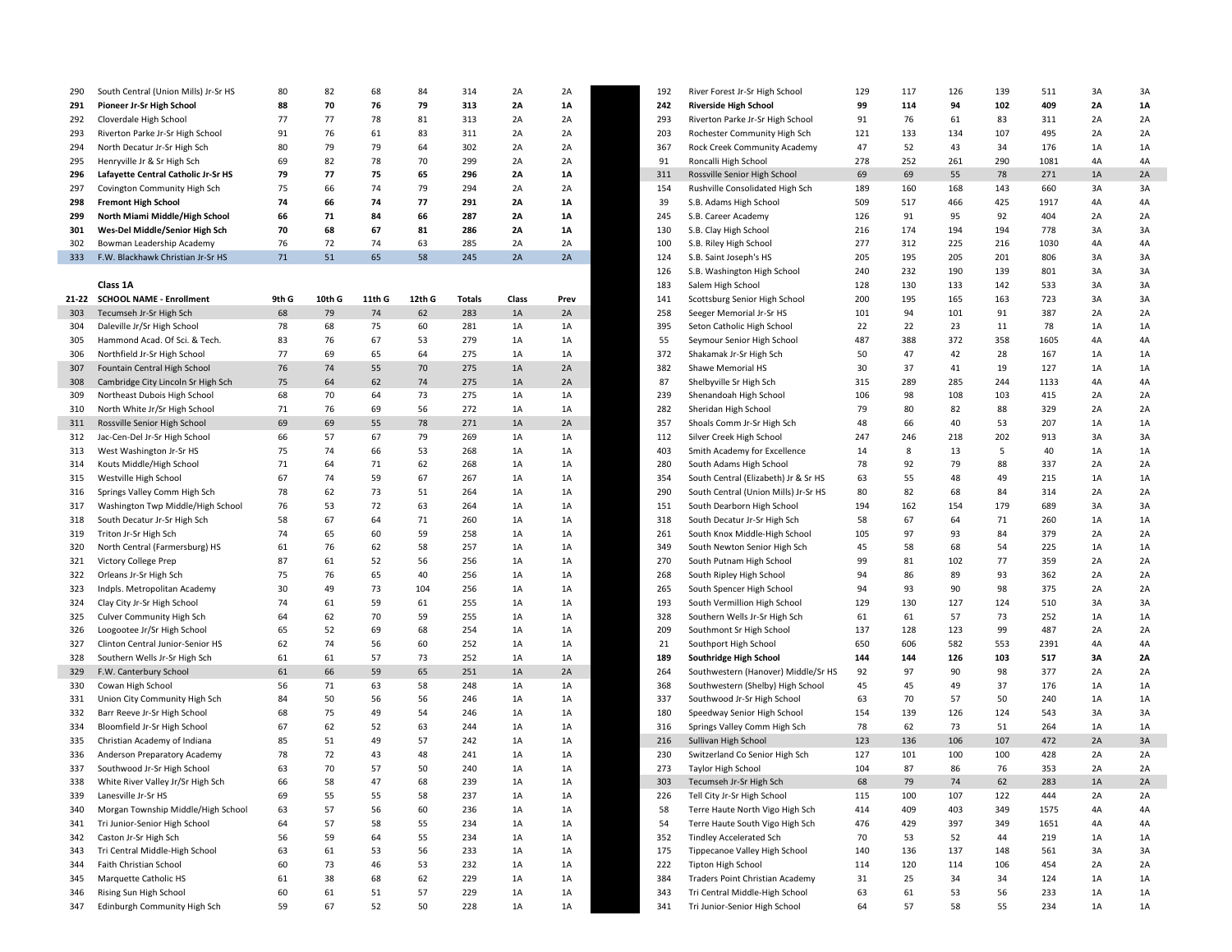| 290   | South Central (Union Mills) Jr-Sr HS                   | 80    | 82     | 68                   | 84                 | 314           | 2A       | 2A       | 192 | River Forest Jr-Sr High School                                  | 129 | 117      | 126 | 139             | 511        | 3A | 3A              |
|-------|--------------------------------------------------------|-------|--------|----------------------|--------------------|---------------|----------|----------|-----|-----------------------------------------------------------------|-----|----------|-----|-----------------|------------|----|-----------------|
| 291   | Pioneer Jr-Sr High School                              | 88    | 70     | 76                   | 79                 | 313           | 2A       | 1A       | 242 | <b>Riverside High School</b>                                    | 99  | 114      | 94  | 102             | 409        | 2A | <b>1A</b>       |
| 292   | Cloverdale High School                                 | 77    | 77     | 78                   | 81                 | 313           | 2A       | 2A       | 293 | Riverton Parke Jr-Sr High School                                | 91  | 76       | 61  | 83              | 311        | 2A | 2A              |
| 293   | Riverton Parke Jr-Sr High School                       | 91    | 76     | 61                   | 83                 | 311           | 2A       | 2A       | 203 | Rochester Community High Sch                                    | 121 | 133      | 134 | 107             | 495        | 2A | 2A              |
| 294   | North Decatur Jr-Sr High Sch                           | 80    | 79     | 79                   | 64                 | 302           | 2A       | 2A       | 367 | Rock Creek Community Academy                                    | 47  | 52       | 43  | 34              | 176        | 1A | 1A              |
|       |                                                        |       |        | 78                   |                    | 299           |          |          |     |                                                                 |     | 252      |     | 290             | 1081       | 4A | 4A              |
| 295   | Henryville Jr & Sr High Sch                            | 69    | 82     |                      | 70                 |               | 2A       | 2A       | 91  | Roncalli High School                                            | 278 |          | 261 |                 |            |    |                 |
| 296   | Lafayette Central Catholic Jr-Sr HS                    | 79    | 77     | 75                   | 65                 | 296           | 2A       | 1A       | 311 | Rossville Senior High School                                    | 69  | 69       | 55  | 78              | 271        | 1A | 2A              |
| 297   | Covington Community High Sch                           | 75    | 66     | 74                   | 79                 | 294           | 2A       | 2A       | 154 | Rushville Consolidated High Sch                                 | 189 | 160      | 168 | 143             | 660        | 3A | 3A              |
| 298   | <b>Fremont High School</b>                             | 74    | 66     | 74                   | 77                 | 291           | 2A       | 1A       | 39  | S.B. Adams High School                                          | 509 | 517      | 466 | 425             | 1917       | 4A | 4A              |
| 299   | North Miami Middle/High School                         | 66    | 71     | 84                   | 66                 | 287           | 2A       | 1A       | 245 | S.B. Career Academy                                             | 126 | 91       | 95  | 92              | 404        | 2A | 2A              |
| 301   | Wes-Del Middle/Senior High Sch                         | 70    | 68     | 67                   | 81                 | 286           | 2A       | 1A       | 130 | S.B. Clay High School                                           | 216 | 174      | 194 | 194             | 778        | 3A | 3A              |
| 302   | Bowman Leadership Academy                              | 76    | 72     | 74                   | 63                 | 285           | 2A       | 2A       | 100 | S.B. Riley High School                                          | 277 | 312      | 225 | 216             | 1030       | 4A | 4A              |
| 333   | F.W. Blackhawk Christian Jr-Sr HS                      | 71    | 51     | 65                   | 58                 | 245           | 2A       | 2A       | 124 | S.B. Saint Joseph's HS                                          | 205 | 195      | 205 | 201             | 806        | 3A | 3A              |
|       |                                                        |       |        |                      |                    |               |          |          | 126 | S.B. Washington High School                                     | 240 | 232      | 190 | 139             | 801        | 3A | 3A              |
|       | Class 1A                                               |       |        |                      |                    |               |          |          | 183 | Salem High School                                               | 128 | 130      | 133 | 142             | 533        | 3A | 3A              |
| 21-22 | <b>SCHOOL NAME - Enrollment</b>                        | 9th G | 10th G | 11th G               | 12th G             | <b>Totals</b> | Class    | Prev     | 141 | Scottsburg Senior High School                                   | 200 | 195      | 165 | 163             | 723        | 3A | 3A              |
| 303   | Tecumseh Jr-Sr High Sch                                | 68    | 79     | 74                   | 62                 | 283           | 1A       | 2A       | 258 | Seeger Memorial Jr-Sr HS                                        | 101 | 94       | 101 | 91              | 387        | 2A | 2A              |
| 304   | Daleville Jr/Sr High School                            | 78    | 68     | 75                   | 60                 | 281           | 1A       | 1A       | 395 | Seton Catholic High School                                      | 22  | 22       | 23  | 11              | 78         | 1A | 1A              |
| 305   | Hammond Acad. Of Sci. & Tech.                          | 83    | 76     | 67                   | 53                 | 279           | 1A       | 1A       | 55  | Seymour Senior High School                                      | 487 | 388      | 372 | 358             | 1605       | 4A | 4A              |
| 306   | Northfield Jr-Sr High School                           | 77    | 69     | 65                   | 64                 | 275           | 1A       | 1A       | 372 | Shakamak Jr-Sr High Sch                                         | 50  | 47       | 42  | 28              | 167        | 1A | 1A              |
| 307   | Fountain Central High School                           | 76    | 74     | 55                   | 70                 | 275           | 1A       | 2A       | 382 | Shawe Memorial HS                                               | 30  | 37       | 41  | 19              | 127        | 1A | 1A              |
| 308   | Cambridge City Lincoln Sr High Sch                     | 75    | 64     | 62                   | 74                 | 275           | 1A       | 2A       | 87  | Shelbyville Sr High Sch                                         | 315 | 289      | 285 | 244             | 1133       | 4A | 4A              |
| 309   | Northeast Dubois High School                           | 68    | 70     | 64                   | 73                 | 275           | 1A       | 1A       | 239 | Shenandoah High School                                          | 106 | 98       | 108 | 103             | 415        | 2A | 2A              |
| 310   | North White Jr/Sr High School                          | 71    | 76     | 69                   | 56                 | 272           | 1A       | 1A       | 282 | Sheridan High School                                            | 79  | 80       | 82  | 88              | 329        | 2A | 2A              |
| 311   | Rossville Senior High School                           | 69    | 69     | 55                   | 78                 | 271           | 1A       | 2A       | 357 | Shoals Comm Jr-Sr High Sch                                      | 48  | 66       | 40  | 53              | 207        | 1A | 1A              |
| 312   | Jac-Cen-Del Jr-Sr High School                          | 66    | 57     | 67                   | 79                 | 269           | 1A       | 1A       | 112 | Silver Creek High School                                        | 247 | 246      | 218 | 202             | 913        | 3A | 3A              |
| 313   | West Washington Jr-Sr HS                               | 75    | 74     | 66                   | 53                 | 268           | 1A       | 1A       | 403 | Smith Academy for Excellence                                    | 14  | 8        | 13  | 5               | 40         | 1A | 1A              |
|       |                                                        | 71    | 64     | 71                   | 62                 | 268           |          |          | 280 | South Adams High School                                         | 78  | 92       | 79  | 88              | 337        | 2A | 2A              |
| 314   | Kouts Middle/High School                               | 67    | 74     | 59                   | 67                 | 267           | 1A       | 1A       | 354 |                                                                 |     | 55       | 48  | 49              | 215        | 1A | 1A              |
| 315   | Westville High School                                  |       |        |                      |                    |               | 1A       | 1A       |     | South Central (Elizabeth) Jr & Sr HS                            | 63  |          |     |                 |            |    |                 |
| 316   | Springs Valley Comm High Sch                           | 78    | 62     | 73                   | 51                 | 264           | 1A       | 1A       | 290 | South Central (Union Mills) Jr-Sr HS                            | 80  | 82       | 68  | 84              | 314        | 2A | 2A              |
| 317   | Washington Twp Middle/High School                      | 76    | 53     | 72                   | 63                 | 264           | 1A       | 1A       | 151 | South Dearborn High School                                      | 194 | 162      | 154 | 179             | 689        | 3A | 3A              |
| 318   | South Decatur Jr-Sr High Sch                           | 58    | 67     | 64                   | 71                 | 260           | 1A       | 1A       | 318 | South Decatur Jr-Sr High Sch                                    | 58  | 67       | 64  | 71              | 260        | 1A | 1A              |
| 319   | Triton Jr-Sr High Sch                                  | 74    | 65     | 60                   | 59                 | 258           | 1A       | 1A       | 261 | South Knox Middle-High School                                   | 105 | 97       | 93  | 84              | 379        | 2A | 2A              |
| 320   | North Central (Farmersburg) HS                         | 61    | 76     | 62                   | 58                 | 257           | 1A       | 1A       | 349 | South Newton Senior High Sch                                    | 45  | 58       | 68  | 54              | 225        | 1A | 1A              |
| 321   | Victory College Prep                                   | 87    | 61     | 52                   | 56                 | 256           | 1A       | 1A       | 270 | South Putnam High School                                        | 99  | 81       | 102 | 77              | 359        | 2A | 2A              |
| 322   | Orleans Jr-Sr High Sch                                 | 75    | 76     | 65                   | 40                 | 256           | 1A       | 1A       | 268 | South Ripley High School                                        | 94  | 86       | 89  | 93              | 362        | 2A | 2A              |
| 323   | Indpls. Metropolitan Academy                           | 30    | 49     | 73                   | 104                | 256           | 1A       | 1A       | 265 | South Spencer High School                                       | 94  | 93       | 90  | 98              | 375        | 2A | 2A              |
| 324   | Clay City Jr-Sr High School                            | 74    | 61     | 59                   | 61                 | 255           | 1A       | 1A       | 193 | South Vermillion High School                                    | 129 | 130      | 127 | 124             | 510        | 3A | 3A              |
| 325   | <b>Culver Community High Sch</b>                       | 64    | 62     | 70                   | 59                 | 255           | 1A       | 1A       | 328 | Southern Wells Jr-Sr High Sch                                   | 61  | 61       | 57  | 73              | 252        | 1A | 1A              |
| 326   | Loogootee Jr/Sr High School                            | 65    | 52     | 69                   | 68                 | 254           | 1A       | 1A       | 209 | Southmont Sr High School                                        | 137 | 128      | 123 | 99              | 487        | 2A | 2A              |
| 327   | Clinton Central Junior-Senior HS                       | 62    | 74     | 56                   | 60                 | 252           | 1A       | 1A       | 21  | Southport High School                                           | 650 | 606      | 582 | 553             | 2391       | 4A | 4A              |
| 328   | Southern Wells Jr-Sr High Sch                          | 61    | 61     | 57                   | 73                 | 252           | 1A       | 1A       | 189 | Southridge High School                                          | 144 | 144      | 126 | 103             | 517        | 3A | 2A              |
| 329   | F.W. Canterbury School                                 | 61    | 66     | 59                   | 65                 | 251           | 1A       | 2A       | 264 | Southwestern (Hanover) Middle/Sr HS                             | 92  | 97       | 90  | 98              | 377        | 2A | 2A              |
| 330   | Cowan High School                                      | 56    | 71     | 63                   | 58                 | 248           | 1A       | 1A       | 368 | Southwestern (Shelby) High School                               | 45  | 45       | 49  | 37              | 176        | 1A | 1A              |
| 331   | Union City Community High Sch                          | 84    | 50     | 56                   | 56                 | 246           | 1A       | 1A       | 337 | Southwood Jr-Sr High School                                     | 63  | 70       | 57  | 50              | 240        | 1A | 1A              |
| 332   | Barr Reeve Jr-Sr High School                           | 68    | 75     | 49                   | 54                 | 246           | 1A       | 1A       | 180 | Speedway Senior High School                                     | 154 | 139      | 126 | 124             | 543        | 3A | 3A              |
| 334   | Bloomfield Jr-Sr High School                           | 67    | 62     | 52                   | 63                 | 244           | 1A       | 1A       | 316 | Springs Valley Comm High Sch                                    | 78  | 62       | 73  | 51              | 264        | 1A | 1A              |
| 335   | Christian Academy of Indiana                           | 85    | 51     | 49                   | 57                 | 242           | 1A       | 1A       | 216 | Sullivan High School                                            | 123 | 136      | 106 | 107             | 472        | 2A | 3A              |
| 336   | Anderson Preparatory Academy                           | 78    | 72     | 43                   | 48                 | 241           | 1A       | 1A       | 230 | Switzerland Co Senior High Sch                                  | 127 | 101      | 100 | 100             | 428        | 2A | 2A              |
| 337   | Southwood Jr-Sr High School                            | 63    | 70     | 57                   | 50                 | 240           | 1A       | 1A       | 273 | Taylor High School                                              | 104 | 87       | 86  | 76              | 353        | 2A | 2A              |
| 338   | White River Valley Jr/Sr High Sch                      | 66    | 58     | 47                   | 68                 | 239           | 1A       | 1A       | 303 | Tecumseh Jr-Sr High Sch                                         | 68  | 79       | 74  | 62              | 283        | 1A | 2A              |
| 339   | Lanesville Jr-Sr HS                                    | 69    | 55     | 55                   | 58                 | 237           | 1A       | 1A       | 226 | Tell City Jr-Sr High School                                     | 115 | 100      | 107 | 122             | 444        | 2A | 2A              |
| 340   | Morgan Township Middle/High School                     | 63    | 57     | 56                   | 60                 | 236           | 1A       | 1A       | 58  | Terre Haute North Vigo High Sch                                 | 414 | 409      | 403 | 349             | 1575       | 4A | 4A              |
| 341   | Tri Junior-Senior High School                          | 64    | 57     | 58                   | 55                 | 234           | 1A       | 1A       | 54  | Terre Haute South Vigo High Sch                                 | 476 | 429      | 397 | 349             | 1651       | 4A | 4A              |
| 342   | Caston Jr-Sr High Sch                                  | 56    | 59     | 64                   | 55                 | 234           | 1A       | 1A       | 352 | <b>Tindley Accelerated Sch</b>                                  | 70  | 53       | 52  | 44              | 219        | 1A | 1A              |
| 343   | Tri Central Middle-High School                         | 63    | 61     | 53                   | 56                 | 233           |          |          | 175 |                                                                 | 140 | 136      | 137 | 148             | 561        | 3A | 3A              |
| 344   | Faith Christian School                                 | 60    | 73     | 46                   | 53                 | 232           | 1A<br>1A | 1A<br>1A | 222 | Tippecanoe Valley High School<br>Tipton High School             | 114 |          | 114 | 106             |            | 2A | 2A              |
| 345   |                                                        |       | 38     |                      |                    |               |          |          | 384 | Traders Point Christian Academy                                 |     | 120      |     |                 | 454        |    |                 |
|       | Marquette Catholic HS                                  | 61    |        | 68                   | 62                 | 229           | 1A       | 1A       |     |                                                                 | 31  | 25       | 34  | 34              | 124        | 1A | 1A              |
| 346   | Rising Sun High School<br>Edinburgh Community High Sch | 60    | 61     | 51<br>E <sub>2</sub> | 57<br>$E^{\wedge}$ | 229<br>220    | 1A       | 1A       | 343 | Tri Central Middle-High School<br>Tri Junior Conjor High School | 63  | 61<br>E7 | 53  | 56<br><b>CC</b> | 233<br>וכר | 1A | 1A<br><b>1A</b> |
|       |                                                        |       |        |                      |                    |               |          |          |     |                                                                 |     |          |     |                 |            |    |                 |

| 290  | South Central (Union Mills) Jr-Sr HS | 80       | 82     | 68     | 84     | 314           | 2A    | 2A       | 192 | River Forest Jr-Sr High School       | 129 | 117       | 126       | 139 | 511  | 3A | 3A |
|------|--------------------------------------|----------|--------|--------|--------|---------------|-------|----------|-----|--------------------------------------|-----|-----------|-----------|-----|------|----|----|
| 291  | Pioneer Jr-Sr High School            | 88       | 70     | 76     | 79     | 313           | 2A    | 1A       | 242 | <b>Riverside High School</b>         | 99  | 114       | 94        | 102 | 409  | 2A | 1A |
| 292  | Cloverdale High School               | 77       | 77     | 78     | 81     | 313           | 2A    | 2A       | 293 | Riverton Parke Jr-Sr High School     | 91  | 76        | 61        | 83  | 311  | 2A | 2A |
| 293  | Riverton Parke Jr-Sr High School     | 91       | 76     | 61     | 83     | 311           | 2A    | 2A       | 203 | Rochester Community High Sch         | 121 | 133       | 134       | 107 | 495  | 2A | 2A |
| 294  | North Decatur Jr-Sr High Sch         | 80       | 79     | 79     | 64     | 302           | 2A    | 2A       | 367 | Rock Creek Community Academy         | 47  | 52        | 43        | 34  | 176  | 1A | 1A |
| 295  | Henryville Jr & Sr High Sch          | 69       | 82     | 78     | 70     | 299           | 2A    | 2A       | 91  | Roncalli High School                 | 278 | 252       | 261       | 290 | 1081 | 4A | 4A |
| 296  | Lafayette Central Catholic Jr-Sr HS  | 79       | 77     | 75     | 65     | 296           | 2A    | 1A       | 311 | Rossville Senior High School         | 69  | 69        | 55        | 78  | 271  | 1A | 2A |
| 297  |                                      | 75       | 66     | 74     | 79     | 294           | 2A    | 2A       | 154 |                                      | 189 | 160       | 168       | 143 | 660  | 3A | 3A |
|      | Covington Community High Sch         |          |        |        |        |               |       |          |     | Rushville Consolidated High Sch      |     |           |           |     |      |    |    |
| 298  | <b>Fremont High School</b>           | 74       | 66     | 74     | 77     | 291           | 2A    | 1A       | 39  | S.B. Adams High School               | 509 | 517       | 466       | 425 | 1917 | 4A | 4A |
| 299  | North Miami Middle/High School       | 66       | 71     | 84     | 66     | 287           | 2A    | 1A       | 245 | S.B. Career Academy                  | 126 | 91        | 95        | 92  | 404  | 2A | 2A |
| 301  | Wes-Del Middle/Senior High Sch       | 70       | 68     | 67     | 81     | 286           | 2A    | 1A       | 130 | S.B. Clay High School                | 216 | 174       | 194       | 194 | 778  | 3A | 3A |
| 302  | Bowman Leadership Academy            | 76       | 72     | 74     | 63     | 285           | 2A    | 2A       | 100 | S.B. Riley High School               | 277 | 312       | 225       | 216 | 1030 | 4A | 4A |
| 333  | F.W. Blackhawk Christian Jr-Sr HS    | 71       | 51     | 65     | 58     | 245           | 2A    | 2A       | 124 | S.B. Saint Joseph's HS               | 205 | 195       | 205       | 201 | 806  | 3A | 3A |
|      |                                      |          |        |        |        |               |       |          | 126 | S.B. Washington High School          | 240 | 232       | 190       | 139 | 801  | 3A | 3A |
|      | Class 1A                             |          |        |        |        |               |       |          | 183 | Salem High School                    | 128 | 130       | 133       | 142 | 533  | 3A | 3A |
| 1-22 | <b>SCHOOL NAME - Enrollment</b>      | 9th G    | 10th G | 11th G | 12th G | <b>Totals</b> | Class | Prev     | 141 | Scottsburg Senior High School        | 200 | 195       | 165       | 163 | 723  | 3A | 3A |
| 303  | Tecumseh Jr-Sr High Sch              | 68       | 79     | 74     | 62     | 283           | 1A    | 2A       | 258 | Seeger Memorial Jr-Sr HS             | 101 | 94        | 101       | 91  | 387  | 2A | 2A |
| 304  | Daleville Jr/Sr High School          | 78       | 68     | 75     | 60     | 281           | 1A    | 1A       | 395 | Seton Catholic High School           | 22  | 22        | 23        | 11  | 78   | 1A | 1A |
| 305  | Hammond Acad. Of Sci. & Tech.        | 83       | 76     | 67     | 53     | 279           | 1A    | 1A       | 55  | Seymour Senior High School           | 487 | 388       | 372       | 358 | 1605 | 4A | 4A |
| 306  | Northfield Jr-Sr High School         | 77       | 69     | 65     | 64     | 275           | 1A    | 1A       | 372 | Shakamak Jr-Sr High Sch              | 50  | 47        | 42        | 28  | 167  | 1A | 1A |
| 307  | Fountain Central High School         | 76       | 74     | 55     | 70     | 275           | 1A    | 2A       | 382 | Shawe Memorial HS                    | 30  | 37        | 41        | 19  | 127  | 1A | 1A |
| 308  | Cambridge City Lincoln Sr High Sch   | 75       | 64     | 62     | 74     | 275           | 1A    | 2A       | 87  | Shelbyville Sr High Sch              | 315 | 289       | 285       | 244 | 1133 | 4A | 4A |
| 309  | Northeast Dubois High School         | 68       | 70     | 64     | 73     | 275           | 1A    | 1A       | 239 | Shenandoah High School               | 106 | 98        | 108       | 103 | 415  | 2A | 2A |
| 310  | North White Jr/Sr High School        | 71       | 76     | 69     | 56     | 272           | 1A    | 1A       | 282 | Sheridan High School                 | 79  | 80        | 82        | 88  | 329  | 2A | 2A |
| 311  | Rossville Senior High School         | 69       | 69     | 55     | 78     | 271           | 1A    | 2A       | 357 | Shoals Comm Jr-Sr High Sch           | 48  | 66        | 40        | 53  | 207  | 1A | 1A |
| 312  | Jac-Cen-Del Jr-Sr High School        | 66       | 57     | 67     | 79     | 269           | 1A    | 1A       | 112 | Silver Creek High School             | 247 | 246       | 218       | 202 | 913  | 3A | 3A |
| 313  | West Washington Jr-Sr HS             | 75       | 74     | 66     | 53     | 268           | 1A    | 1A       | 403 | Smith Academy for Excellence         | 14  | 8         | 13        | 5   | 40   | 1A | 1A |
| 314  | Kouts Middle/High School             | 71       | 64     | 71     | 62     | 268           | 1A    | 1A       | 280 | South Adams High School              | 78  | 92        | 79        | 88  | 337  | 2A | 2A |
| 315  | Westville High School                | 67       | 74     | 59     | 67     | 267           | 1A    | 1A       | 354 | South Central (Elizabeth) Jr & Sr HS | 63  | 55        | 48        | 49  | 215  | 1A | 1A |
| 316  | Springs Valley Comm High Sch         | 78       | 62     | 73     | 51     | 264           | 1A    | 1A       | 290 | South Central (Union Mills) Jr-Sr HS | 80  | 82        | 68        | 84  | 314  | 2A | 2A |
|      | Washington Twp Middle/High School    |          | 53     | 72     | 63     |               |       |          |     |                                      | 194 |           |           | 179 |      |    | 3A |
| 317  | South Decatur Jr-Sr High Sch         | 76<br>58 | 67     | 64     | 71     | 264<br>260    | 1A    | 1A<br>1A | 151 | South Dearborn High School           |     | 162<br>67 | 154<br>64 | 71  | 689  | 3A | 1A |
| 318  |                                      |          |        |        |        |               | 1A    |          | 318 | South Decatur Jr-Sr High Sch         | 58  |           |           |     | 260  | 1A |    |
| 319  | Triton Jr-Sr High Sch                | 74       | 65     | 60     | 59     | 258           | 1A    | 1A       | 261 | South Knox Middle-High School        | 105 | 97        | 93        | 84  | 379  | 2A | 2A |
| 320  | North Central (Farmersburg) HS       | 61       | 76     | 62     | 58     | 257           | 1A    | 1A       | 349 | South Newton Senior High Sch         | 45  | 58        | 68        | 54  | 225  | 1A | 1A |
| 321  | Victory College Prep                 | 87       | 61     | 52     | 56     | 256           | 1A    | 1A       | 270 | South Putnam High School             | 99  | 81        | 102       | 77  | 359  | 2A | 2A |
| 322  | Orleans Jr-Sr High Sch               | 75       | 76     | 65     | 40     | 256           | 1A    | 1A       | 268 | South Ripley High School             | 94  | 86        | 89        | 93  | 362  | 2A | 2A |
| 323  | Indpls. Metropolitan Academy         | 30       | 49     | 73     | 104    | 256           | 1A    | 1A       | 265 | South Spencer High School            | 94  | 93        | 90        | 98  | 375  | 2A | 2A |
| 324  | Clay City Jr-Sr High School          | 74       | 61     | 59     | 61     | 255           | 1A    | 1A       | 193 | South Vermillion High School         | 129 | 130       | 127       | 124 | 510  | 3A | 3A |
| 325  | Culver Community High Sch            | 64       | 62     | 70     | 59     | 255           | 1A    | 1A       | 328 | Southern Wells Jr-Sr High Sch        | 61  | 61        | 57        | 73  | 252  | 1A | 1A |
| 326  | Loogootee Jr/Sr High School          | 65       | 52     | 69     | 68     | 254           | 1A    | 1A       | 209 | Southmont Sr High School             | 137 | 128       | 123       | 99  | 487  | 2A | 2A |
| 327  | Clinton Central Junior-Senior HS     | 62       | 74     | 56     | 60     | 252           | 1A    | 1A       | 21  | Southport High School                | 650 | 606       | 582       | 553 | 2391 | 4A | 4A |
| 328  | Southern Wells Jr-Sr High Sch        | 61       | 61     | 57     | 73     | 252           | 1A    | 1A       | 189 | Southridge High School               | 144 | 144       | 126       | 103 | 517  | 3A | 2A |
| 329  | F.W. Canterbury School               | 61       | 66     | 59     | 65     | 251           | 1A    | 2A       | 264 | Southwestern (Hanover) Middle/Sr HS  | 92  | 97        | 90        | 98  | 377  | 2A | 2A |
| 330  | Cowan High School                    | 56       | 71     | 63     | 58     | 248           | 1A    | 1A       | 368 | Southwestern (Shelby) High School    | 45  | 45        | 49        | 37  | 176  | 1A | 1A |
| 331  | Union City Community High Sch        | 84       | 50     | 56     | 56     | 246           | 1A    | 1A       | 337 | Southwood Jr-Sr High School          | 63  | 70        | 57        | 50  | 240  | 1A | 1A |
| 332  | Barr Reeve Jr-Sr High School         | 68       | 75     | 49     | 54     | 246           | 1A    | 1A       | 180 | Speedway Senior High School          | 154 | 139       | 126       | 124 | 543  | 3A | 3A |
| 334  | Bloomfield Jr-Sr High School         | 67       | 62     | 52     | 63     | 244           | 1A    | 1A       | 316 | Springs Valley Comm High Sch         | 78  | 62        | 73        | 51  | 264  | 1A | 1A |
| 335  | Christian Academy of Indiana         | 85       | 51     | 49     | 57     | 242           | 1A    | 1A       | 216 | Sullivan High School                 | 123 | 136       | 106       | 107 | 472  | 2A | 3A |
| 336  | Anderson Preparatory Academy         | 78       | 72     | 43     | 48     | 241           | 1A    | 1A       | 230 | Switzerland Co Senior High Sch       | 127 | 101       | 100       | 100 | 428  | 2A | 2A |
| 337  | Southwood Jr-Sr High School          | 63       | 70     | 57     | 50     | 240           | 1A    | 1A       | 273 | Taylor High School                   | 104 | 87        | 86        | 76  | 353  | 2A | 2A |
| 338  | White River Valley Jr/Sr High Sch    | 66       | 58     | 47     | 68     | 239           | 1A    | 1A       | 303 | Tecumseh Jr-Sr High Sch              | 68  | 79        | 74        | 62  | 283  | 1A | 2A |
| 339  | Lanesville Jr-Sr HS                  | 69       | 55     | 55     | 58     | 237           | 1A    | 1A       | 226 | Tell City Jr-Sr High School          | 115 | 100       | 107       | 122 | 444  | 2A | 2A |
| 340  | Morgan Township Middle/High School   | 63       | 57     | 56     | 60     | 236           | 1A    | 1A       | 58  | Terre Haute North Vigo High Sch      | 414 | 409       | 403       | 349 | 1575 | 4A | 4A |
| 341  | Tri Junior-Senior High School        | 64       | 57     | 58     | 55     | 234           | 1A    | 1A       | 54  | Terre Haute South Vigo High Sch      | 476 | 429       | 397       | 349 | 1651 | 4A | 4A |
| 342  | Caston Jr-Sr High Sch                | 56       | 59     | 64     | 55     | 234           | 1A    | 1A       | 352 | <b>Tindley Accelerated Sch</b>       | 70  | 53        | 52        | 44  | 219  | 1A | 1A |
| 343  | Tri Central Middle-High School       | 63       | 61     | 53     | 56     | 233           | 1A    | 1A       | 175 | Tippecanoe Valley High School        | 140 | 136       | 137       | 148 | 561  | 3A | 3A |
|      |                                      | 60       | 73     | 46     |        | 232           |       |          | 222 | Tipton High School                   | 114 | 120       | 114       |     |      | 2A |    |
| 344  | Faith Christian School               |          |        |        | 53     |               | 1A    | 1A       |     |                                      |     |           |           | 106 | 454  |    | 2A |
| 345  | Marquette Catholic HS                | 61       | 38     | 68     | 62     | 229           | 1A    | 1A       | 384 | Traders Point Christian Academy      | 31  | 25        | 34        | 34  | 124  | 1A | 1A |
| 346  | Rising Sun High School               | 60       | 61     | 51     | 57     | 229           | 1A    | 1A       | 343 | Tri Central Middle-High School       | 63  | 61        | 53        | 56  | 233  | 1A | 1A |
| 347  | Edinburgh Community High Sch         | 59       | 67     | 52     | 50     | 228           | 1A    | 1A       | 341 | Tri Junior-Senior High School        | 64  | 57        | 58        | 55  | 234  | 1A | 1A |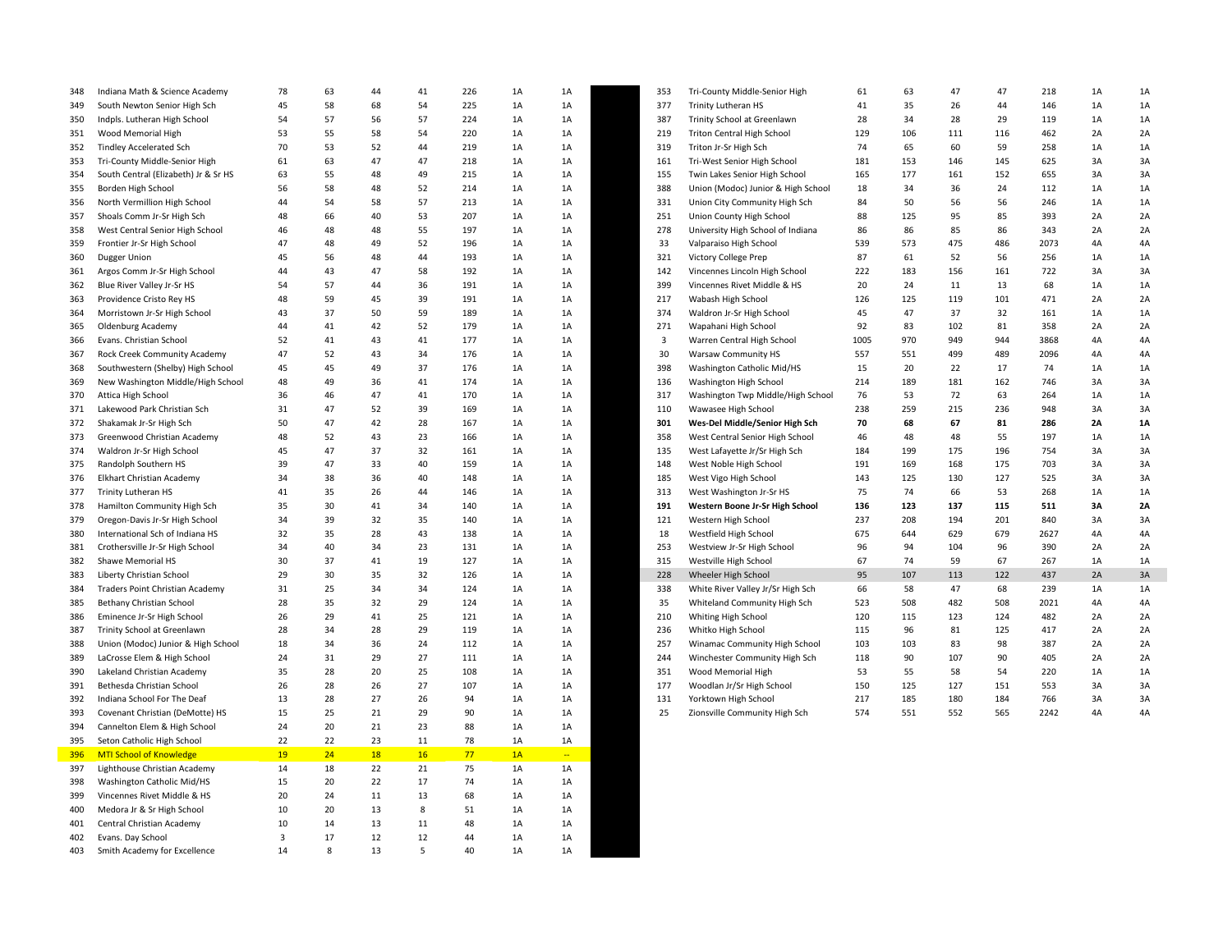| 348 | Indiana Math & Science Academy       | 78                      | 63           | 44 | 41 | 226 | 1A   | 1A                                 | 353                     | Tri-County Middle-Senior High      | 61   | 63  | 47  | 47  | 218  | 1A | 1A |
|-----|--------------------------------------|-------------------------|--------------|----|----|-----|------|------------------------------------|-------------------------|------------------------------------|------|-----|-----|-----|------|----|----|
| 349 | South Newton Senior High Sch         | 45                      | 58           | 68 | 54 | 225 | 1A   | 1A                                 | 377                     | Trinity Lutheran HS                | 41   | 35  | 26  | 44  | 146  | 1A | 1A |
| 350 | Indpls. Lutheran High School         | 54                      | 57           | 56 | 57 | 224 | 1A   | $1A$                               | 387                     | Trinity School at Greenlawn        | 28   | 34  | 28  | 29  | 119  | 1A | 1A |
| 351 | Wood Memorial High                   | 53                      | 55           | 58 | 54 | 220 | 1A   | $1A$                               | 219                     | Triton Central High School         | 129  | 106 | 111 | 116 | 462  | 2A | 2A |
| 352 | <b>Tindley Accelerated Sch</b>       | 70                      | 53           | 52 | 44 | 219 | 1A   | 1A                                 | 319                     | Triton Jr-Sr High Sch              | 74   | 65  | 60  | 59  | 258  | 1A | 1A |
| 353 | Tri-County Middle-Senior High        | 61                      | 63           | 47 | 47 | 218 | $1A$ | $1A$                               | 161                     | Tri-West Senior High School        | 181  | 153 | 146 | 145 | 625  | 3A | 3A |
| 354 | South Central (Elizabeth) Jr & Sr HS | 63                      | 55           | 48 | 49 | 215 | 1A   | 1A                                 | 155                     | Twin Lakes Senior High School      | 165  | 177 | 161 | 152 | 655  | 3A | 3A |
| 355 | Borden High School                   | 56                      | 58           | 48 | 52 | 214 | $1A$ | 1A                                 | 388                     | Union (Modoc) Junior & High School | 18   | 34  | 36  | 24  | 112  | 1A | 1A |
| 356 | North Vermillion High School         | 44                      | 54           | 58 | 57 | 213 | 1A   | 1A                                 | 331                     | Union City Community High Sch      | 84   | 50  | 56  | 56  | 246  | 1A | 1A |
| 357 | Shoals Comm Jr-Sr High Sch           | 48                      | 66           | 40 | 53 | 207 | 1A   | 1A                                 | 251                     | Union County High School           | 88   | 125 | 95  | 85  | 393  | 2A | 2A |
| 358 | West Central Senior High School      | 46                      | 48           | 48 | 55 | 197 | $1A$ | 1A                                 | 278                     | University High School of Indiana  | 86   | 86  | 85  | 86  | 343  | 2A | 2A |
| 359 | Frontier Jr-Sr High School           | 47                      | 48           | 49 | 52 | 196 | 1A   | 1A                                 | 33                      | Valparaiso High School             | 539  | 573 | 475 | 486 | 2073 | 4A | 4A |
| 360 | Dugger Union                         | 45                      | 56           | 48 | 44 | 193 | 1A   | 1A                                 | 321                     | Victory College Prep               | 87   | 61  | 52  | 56  | 256  | 1A | 1A |
|     |                                      | 44                      | 43           | 47 | 58 | 192 | 1A   |                                    | 142                     |                                    | 222  | 183 | 156 | 161 | 722  | 3A | 3A |
| 361 | Argos Comm Jr-Sr High School         |                         |              |    |    |     |      | 1A                                 |                         | Vincennes Lincoln High School      |      |     |     |     |      |    |    |
| 362 | Blue River Valley Jr-Sr HS           | 54                      | 57           | 44 | 36 | 191 | 1A   | 1A                                 | 399                     | Vincennes Rivet Middle & HS        | 20   | 24  | 11  | 13  | 68   | 1A | 1A |
| 363 | Providence Cristo Rey HS             | 48                      | 59           | 45 | 39 | 191 | $1A$ | 1A                                 | 217                     | Wabash High School                 | 126  | 125 | 119 | 101 | 471  | 2A | 2A |
| 364 | Morristown Jr-Sr High School         | 43                      | 37           | 50 | 59 | 189 | 1A   | 1A                                 | 374                     | Waldron Jr-Sr High School          | 45   | 47  | 37  | 32  | 161  | 1A | 1A |
| 365 | Oldenburg Academy                    | 44                      | 41           | 42 | 52 | 179 | 1A   | 1A                                 | 271                     | Wapahani High School               | 92   | 83  | 102 | 81  | 358  | 2A | 2A |
| 366 | Evans. Christian School              | 52                      | 41           | 43 | 41 | 177 | 1A   | $1A$                               | $\overline{\mathbf{3}}$ | Warren Central High School         | 1005 | 970 | 949 | 944 | 3868 | 4A | 4A |
| 367 | Rock Creek Community Academy         | 47                      | 52           | 43 | 34 | 176 | 1A   | 1A                                 | 30                      | Warsaw Community HS                | 557  | 551 | 499 | 489 | 2096 | 4A | 4A |
| 368 | Southwestern (Shelby) High School    | 45                      | 45           | 49 | 37 | 176 | 1A   | $1A$                               | 398                     | Washington Catholic Mid/HS         | 15   | 20  | 22  | 17  | 74   | 1A | 1A |
| 369 | New Washington Middle/High School    | 48                      | 49           | 36 | 41 | 174 | 1A   | 1A                                 | 136                     | Washington High School             | 214  | 189 | 181 | 162 | 746  | 3A | 3A |
| 370 | Attica High School                   | 36                      | 46           | 47 | 41 | 170 | 1A   | 1A                                 | 317                     | Washington Twp Middle/High School  | 76   | 53  | 72  | 63  | 264  | 1A | 1A |
| 371 | Lakewood Park Christian Sch          | 31                      | 47           | 52 | 39 | 169 | $1A$ | $1A$                               | 110                     | Wawasee High School                | 238  | 259 | 215 | 236 | 948  | 3A | 3A |
| 372 | Shakamak Jr-Sr High Sch              | 50                      | 47           | 42 | 28 | 167 | 1A   | 1A                                 | 301                     | Wes-Del Middle/Senior High Sch     | 70   | 68  | 67  | 81  | 286  | 2A | 1A |
| 373 | Greenwood Christian Academy          | 48                      | 52           | 43 | 23 | 166 | 1A   | 1A                                 | 358                     | West Central Senior High School    | 46   | 48  | 48  | 55  | 197  | 1A | 1A |
| 374 | Waldron Jr-Sr High School            | 45                      | 47           | 37 | 32 | 161 | 1A   | 1A                                 | 135                     | West Lafayette Jr/Sr High Sch      | 184  | 199 | 175 | 196 | 754  | 3A | 3A |
| 375 | Randolph Southern HS                 | 39                      | 47           | 33 | 40 | 159 | 1A   | 1A                                 | 148                     | West Noble High School             | 191  | 169 | 168 | 175 | 703  | 3A | 3A |
| 376 | Elkhart Christian Academy            | 34                      | 38           | 36 | 40 | 148 | 1A   | $1A$                               | 185                     | West Vigo High School              | 143  | 125 | 130 | 127 | 525  | 3A | 3A |
| 377 | Trinity Lutheran HS                  | 41                      | 35           | 26 | 44 | 146 | 1A   | 1A                                 | 313                     | West Washington Jr-Sr HS           | 75   | 74  | 66  | 53  | 268  | 1A | 1A |
| 378 | Hamilton Community High Sch          | 35                      | 30           | 41 | 34 | 140 | $1A$ | 1A                                 | 191                     | Western Boone Jr-Sr High School    | 136  | 123 | 137 | 115 | 511  | 3A | 2A |
| 379 | Oregon-Davis Jr-Sr High School       | 34                      | 39           | 32 | 35 | 140 | 1A   | 1A                                 | 121                     | Western High School                | 237  | 208 | 194 | 201 | 840  | 3A | 3A |
| 380 | International Sch of Indiana HS      | 32                      | 35           | 28 | 43 | 138 | 1A   | $1A$                               | 18                      | Westfield High School              | 675  | 644 | 629 | 679 | 2627 | 4A | 4A |
| 381 | Crothersville Jr-Sr High School      | 34                      | 40           | 34 | 23 | 131 | 1A   | $1A$                               | 253                     | Westview Jr-Sr High School         | 96   | 94  | 104 | 96  | 390  | 2A | 2A |
| 382 | Shawe Memorial HS                    | 30                      | 37           | 41 | 19 | 127 | 1A   | 1A                                 | 315                     | Westville High School              | 67   | 74  | 59  | 67  | 267  | 1A | 1A |
| 383 | Liberty Christian School             | 29                      | 30           | 35 | 32 | 126 | 1A   | $1A$                               | 228                     | Wheeler High School                | 95   | 107 | 113 | 122 | 437  | 2A | 3A |
| 384 | Traders Point Christian Academy      | 31                      | 25           | 34 | 34 | 124 | 1A   | 1A                                 | 338                     | White River Valley Jr/Sr High Sch  | 66   | 58  | 47  | 68  | 239  | 1A | 1A |
| 385 | Bethany Christian School             | 28                      | 35           | 32 | 29 | 124 | 1A   | 1A                                 | 35                      | Whiteland Community High Sch       | 523  | 508 | 482 | 508 | 2021 | 4A | 4A |
| 386 | Eminence Jr-Sr High School           | 26                      | 29           | 41 | 25 | 121 | 1A   | $1A$                               | 210                     | Whiting High School                | 120  | 115 | 123 | 124 | 482  | 2A | 2A |
| 387 | Trinity School at Greenlawn          | 28                      | 34           | 28 | 29 | 119 | 1A   | 1A                                 | 236                     | Whitko High School                 | 115  | 96  | 81  | 125 | 417  | 2A | 2A |
| 388 |                                      | 18                      | 34           | 36 | 24 | 112 | 1A   | 1A                                 | 257                     |                                    | 103  | 103 | 83  | 98  | 387  | 2A | 2A |
|     | Union (Modoc) Junior & High School   |                         |              | 29 | 27 | 111 |      |                                    |                         | Winamac Community High School      |      |     | 107 | 90  | 405  |    |    |
| 389 | LaCrosse Elem & High School          | 24                      | 31           |    |    |     | 1A   | 1A                                 | 244                     | Winchester Community High Sch      | 118  | 90  |     |     |      | 2A | 2A |
| 390 | Lakeland Christian Academy           | 35                      | 28           | 20 | 25 | 108 | 1A   | 1A                                 | 351                     | Wood Memorial High                 | 53   | 55  | 58  | 54  | 220  | 1A | 1A |
| 391 | Bethesda Christian School            | 26                      | 28           | 26 | 27 | 107 | 1A   | 1A                                 | 177                     | Woodlan Jr/Sr High School          | 150  | 125 | 127 | 151 | 553  | 3A | 3A |
| 392 | Indiana School For The Deaf          | 13                      | 28           | 27 | 26 | 94  | 1A   | 1A                                 | 131                     | Yorktown High School               | 217  | 185 | 180 | 184 | 766  | 3A | 3A |
| 393 | Covenant Christian (DeMotte) HS      | 15                      | 25           | 21 | 29 | 90  | $1A$ | 1A                                 | 25                      | Zionsville Community High Sch      | 574  | 551 | 552 | 565 | 2242 | 4A | 4A |
| 394 | Cannelton Elem & High School         | 24                      | 20           | 21 | 23 | 88  | 1A   | 1A                                 |                         |                                    |      |     |     |     |      |    |    |
| 395 | Seton Catholic High School           | 22                      | 22           | 23 | 11 | 78  | 1A   | $1A$                               |                         |                                    |      |     |     |     |      |    |    |
| 396 | <b>MTI School of Knowledge</b>       | 19                      | 24           | 18 | 16 | 77  | 1A   | $\mathbb{Z}^{\mathbb{Z}^{\times}}$ |                         |                                    |      |     |     |     |      |    |    |
| 397 | Lighthouse Christian Academy         | 14                      | 18           | 22 | 21 | 75  | 1A   | 1A                                 |                         |                                    |      |     |     |     |      |    |    |
| 398 | Washington Catholic Mid/HS           | 15                      | 20           | 22 | 17 | 74  | 1A   | 1A                                 |                         |                                    |      |     |     |     |      |    |    |
| 399 | Vincennes Rivet Middle & HS          | 20                      | 24           | 11 | 13 | 68  | 1A   | $1A$                               |                         |                                    |      |     |     |     |      |    |    |
| 400 | Medora Jr & Sr High School           | 10                      | 20           | 13 | 8  | 51  | 1A   | 1A                                 |                         |                                    |      |     |     |     |      |    |    |
| 401 | Central Christian Academy            | 10                      | 14           | 13 | 11 | 48  | 1A   | $1A$                               |                         |                                    |      |     |     |     |      |    |    |
| 402 | Evans. Day School                    | $\overline{\mathbf{3}}$ | 17           | 12 | 12 | 44  | 1A   | 1A                                 |                         |                                    |      |     |     |     |      |    |    |
| 403 | Smith Academy for Excellence         | 14                      | $\mathbf{8}$ | 13 | 5  | 40  | 1A   | 1A                                 |                         |                                    |      |     |     |     |      |    |    |
|     |                                      |                         |              |    |    |     |      |                                    |                         |                                    |      |     |     |     |      |    |    |